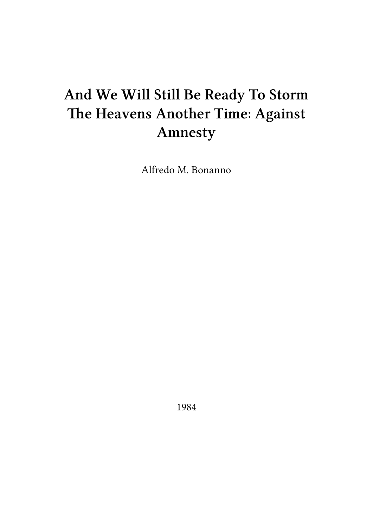# **And We Will Still Be Ready To Storm The Heavens Another Time: Against Amnesty**

Alfredo M. Bonanno

1984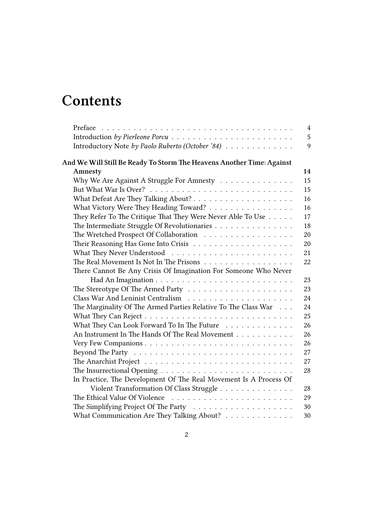# **Contents**

|                                                                       | $\overline{4}$ |
|-----------------------------------------------------------------------|----------------|
|                                                                       | 5              |
| Introductory Note by Paolo Ruberto (October '84)                      | 9              |
| And We Will Still Be Ready To Storm The Heavens Another Time: Against |                |
| Amnesty                                                               | 14             |
| Why We Are Against A Struggle For Amnesty                             | 15             |
|                                                                       | 15             |
|                                                                       | 16             |
| What Victory Were They Heading Toward?                                | 16             |
| They Refer To The Critique That They Were Never Able To Use           | 17             |
| The Intermediate Struggle Of Revolutionaries                          | 18             |
| The Wretched Prospect Of Collaboration                                | 20             |
|                                                                       | 20             |
|                                                                       | 21             |
| The Real Movement Is Not In The Prisons                               | 22             |
| There Cannot Be Any Crisis Of Imagination For Someone Who Never       |                |
|                                                                       | 23             |
|                                                                       | 23             |
|                                                                       | 24             |
| The Marginality Of The Armed Parties Relative To The Class War        | 24             |
|                                                                       | 25             |
| What They Can Look Forward To In The Future                           | 26             |
| An Instrument In The Hands Of The Real Movement                       | 26             |
|                                                                       | 26             |
|                                                                       | 27             |
|                                                                       | 27             |
|                                                                       | 28             |
| In Practice, The Development Of The Real Movement Is A Process Of     |                |
| Violent Transformation Of Class Struggle                              | 28             |
| The Ethical Value Of Violence                                         | 29             |
|                                                                       | 30             |
| What Communication Are They Talking About?                            | 30             |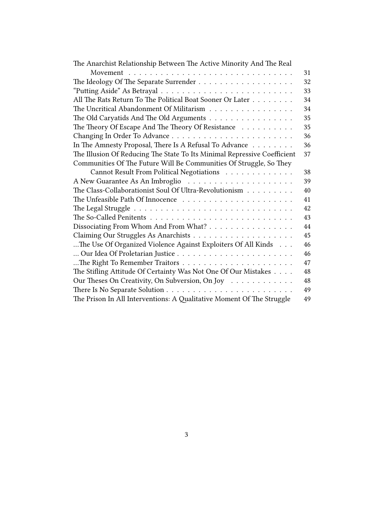| The Anarchist Relationship Between The Active Minority And The Real                             |    |
|-------------------------------------------------------------------------------------------------|----|
|                                                                                                 | 31 |
|                                                                                                 | 32 |
|                                                                                                 | 33 |
| All The Rats Return To The Political Boat Sooner Or Later                                       | 34 |
| The Uncritical Abandonment Of Militarism                                                        | 34 |
| The Old Caryatids And The Old Arguments                                                         | 35 |
| The Theory Of Escape And The Theory Of Resistance                                               | 35 |
|                                                                                                 | 36 |
| In The Amnesty Proposal, There Is A Refusal To Advance                                          | 36 |
| The Illusion Of Reducing The State To Its Minimal Repressive Coefficient                        | 37 |
| Communities Of The Future Will Be Communities Of Struggle, So They                              |    |
| Cannot Result From Political Negotiations                                                       | 38 |
|                                                                                                 | 39 |
| The Class-Collaborationist Soul Of Ultra-Revolutionism                                          | 40 |
|                                                                                                 | 41 |
|                                                                                                 | 42 |
| The So-Called Penitents $\ldots \ldots \ldots \ldots \ldots \ldots \ldots \ldots \ldots \ldots$ | 43 |
| Dissociating From Whom And From What?                                                           | 44 |
|                                                                                                 | 45 |
| The Use Of Organized Violence Against Exploiters Of All Kinds                                   | 46 |
|                                                                                                 | 46 |
|                                                                                                 | 47 |
| The Stifling Attitude Of Certainty Was Not One Of Our Mistakes                                  | 48 |
| Our Theses On Creativity, On Subversion, On Joy                                                 | 48 |
|                                                                                                 | 49 |
| The Prison In All Interventions: A Qualitative Moment Of The Struggle                           | 49 |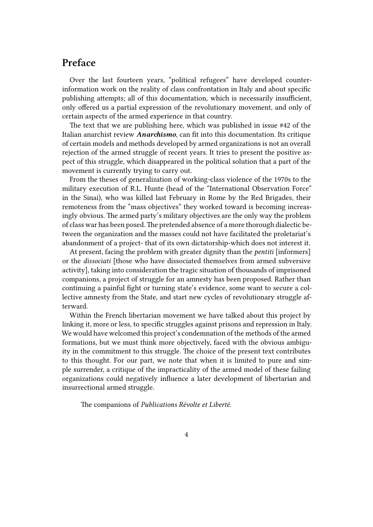## <span id="page-3-0"></span>**Preface**

Over the last fourteen years, "political refugees" have developed counterinformation work on the reality of class confrontation in Italy and about specific publishing attempts; all of this documentation, which is necessarily insufficient, only offered us a partial expression of the revolutionary movement, and only of certain aspects of the armed experience in that country.

The text that we are publishing here, which was published in issue #42 of the Italian anarchist review *Anarchismo*, can fit into this documentation. Its critique of certain models and methods developed by armed organizations is not an overall rejection of the armed struggle of recent years. It tries to present the positive aspect of this struggle, which disappeared in the political solution that a part of the movement is currently trying to carry out.

From the theses of generalization of working-class violence of the 1970s to the military execution of R.L. Hunte (head of the "International Observation Force" in the Sinai), who was killed last February in Rome by the Red Brigades, their remoteness from the "mass objectives" they worked toward is becoming increasingly obvious. The armed party's military objectives are the only way the problem of class war has been posed. The pretended absence of a more thorough dialectic between the organization and the masses could not have facilitated the proletariat's abandonment of a project- that of its own dictatorship-which does not interest it.

At present, facing the problem with greater dignity than the *pentiti* [informers] or the *dissociati* [those who have dissociated themselves from armed subversive activity], taking into consideration the tragic situation of thousands of imprisoned companions, a project of struggle for an amnesty has been proposed. Rather than continuing a painful fight or turning state's evidence, some want to secure a collective amnesty from the State, and start new cycles of revolutionary struggle afterward.

Within the French libertarian movement we have talked about this project by linking it, more or less, to specific struggles against prisons and repression in Italy. We would have welcomed this project's condemnation of the methods of the armed formations, but we must think more objectively, faced with the obvious ambiguity in the commitment to this struggle. The choice of the present text contributes to this thought. For our part, we note that when it is limited to pure and simple surrender, a critique of the impracticality of the armed model of these failing organizations could negatively influence a later development of libertarian and insurrectional armed struggle.

The companions of *Publications Révolte et Liberté*.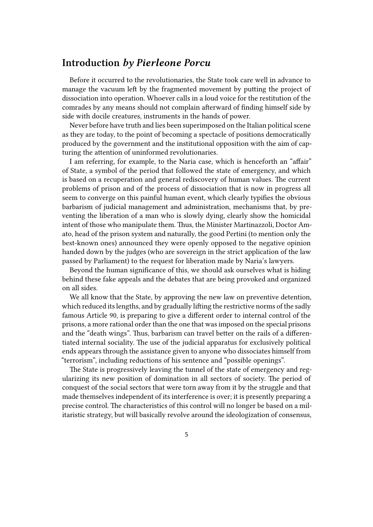## <span id="page-4-0"></span>**Introduction** *by Pierleone Porcu*

Before it occurred to the revolutionaries, the State took care well in advance to manage the vacuum left by the fragmented movement by putting the project of dissociation into operation. Whoever calls in a loud voice for the restitution of the comrades by any means should not complain afterward of finding himself side by side with docile creatures, instruments in the hands of power.

Never before have truth and lies been superimposed on the Italian political scene as they are today, to the point of becoming a spectacle of positions democratically produced by the government and the institutional opposition with the aim of capturing the attention of uninformed revolutionaries.

I am referring, for example, to the Naria case, which is henceforth an "affair" of State, a symbol of the period that followed the state of emergency, and which is based on a recuperation and general rediscovery of human values. The current problems of prison and of the process of dissociation that is now in progress all seem to converge on this painful human event, which clearly typifies the obvious barbarism of judicial management and administration, mechanisms that, by preventing the liberation of a man who is slowly dying, clearly show the homicidal intent of those who manipulate them. Thus, the Minister Martinazzoli, Doctor Amato, head of the prison system and naturally, the good Pertini (to mention only the best-known ones) announced they were openly opposed to the negative opinion handed down by the judges (who are sovereign in the strict application of the law passed by Parliament) to the request for liberation made by Naria's lawyers.

Beyond the human significance of this, we should ask ourselves what is hiding behind these fake appeals and the debates that are being provoked and organized on all sides.

We all know that the State, by approving the new law on preventive detention, which reduced its lengths, and by gradually lifting the restrictive norms of the sadly famous Article 90, is preparing to give a different order to internal control of the prisons, a more rational order than the one that was imposed on the special prisons and the "death wings". Thus, barbarism can travel better on the rails of a differentiated internal sociality. The use of the judicial apparatus for exclusively political ends appears through the assistance given to anyone who dissociates himself from "terrorism", including reductions of his sentence and "possible openings".

The State is progressively leaving the tunnel of the state of emergency and regularizing its new position of domination in all sectors of society. The period of conquest of the social sectors that were torn away from it by the struggle and that made themselves independent of its interference is over; it is presently preparing a precise control. The characteristics of this control will no longer be based on a militaristic strategy, but will basically revolve around the ideologization of consensus,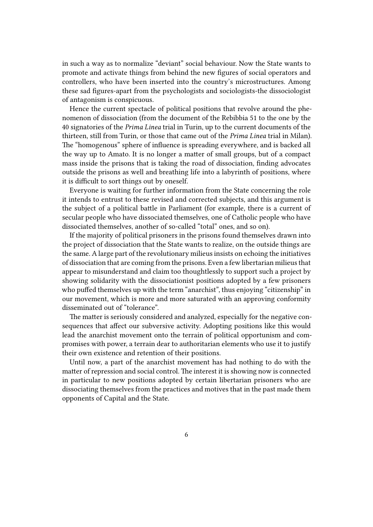in such a way as to normalize "deviant" social behaviour. Now the State wants to promote and activate things from behind the new figures of social operators and controllers, who have been inserted into the country's microstructures. Among these sad figures-apart from the psychologists and sociologists-the dissociologist of antagonism is conspicuous.

Hence the current spectacle of political positions that revolve around the phenomenon of dissociation (from the document of the Rebibbia 51 to the one by the 40 signatories of the *Prima Linea* trial in Turin, up to the current documents of the thirteen, still from Turin, or those that came out of the *Prima Linea* trial in Milan). The "homogenous" sphere of influence is spreading everywhere, and is backed all the way up to Amato. It is no longer a matter of small groups, but of a compact mass inside the prisons that is taking the road of dissociation, finding advocates outside the prisons as well and breathing life into a labyrinth of positions, where it is difficult to sort things out by oneself.

Everyone is waiting for further information from the State concerning the role it intends to entrust to these revised and corrected subjects, and this argument is the subject of a political battle in Parliament (for example, there is a current of secular people who have dissociated themselves, one of Catholic people who have dissociated themselves, another of so-called "total" ones, and so on).

If the majority of political prisoners in the prisons found themselves drawn into the project of dissociation that the State wants to realize, on the outside things are the same. A large part of the revolutionary milieus insists on echoing the initiatives of dissociation that are coming from the prisons. Even a few libertarian milieus that appear to misunderstand and claim too thoughtlessly to support such a project by showing solidarity with the dissociationist positions adopted by a few prisoners who puffed themselves up with the term "anarchist", thus enjoying "citizenship" in our movement, which is more and more saturated with an approving conformity disseminated out of "tolerance".

The matter is seriously considered and analyzed, especially for the negative consequences that affect our subversive activity. Adopting positions like this would lead the anarchist movement onto the terrain of political opportunism and compromises with power, a terrain dear to authoritarian elements who use it to justify their own existence and retention of their positions.

Until now, a part of the anarchist movement has had nothing to do with the matter of repression and social control. The interest it is showing now is connected in particular to new positions adopted by certain libertarian prisoners who are dissociating themselves from the practices and motives that in the past made them opponents of Capital and the State.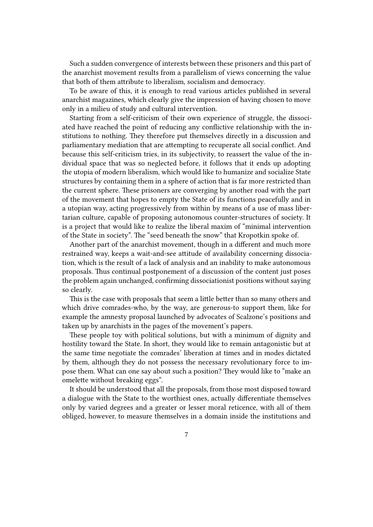Such a sudden convergence of interests between these prisoners and this part of the anarchist movement results from a parallelism of views concerning the value that both of them attribute to liberalism, socialism and democracy.

To be aware of this, it is enough to read various articles published in several anarchist magazines, which clearly give the impression of having chosen to move only in a milieu of study and cultural intervention.

Starting from a self-criticism of their own experience of struggle, the dissociated have reached the point of reducing any conflictive relationship with the institutions to nothing. They therefore put themselves directly in a discussion and parliamentary mediation that are attempting to recuperate all social conflict. And because this self-criticism tries, in its subjectivity, to reassert the value of the individual space that was so neglected before, it follows that it ends up adopting the utopia of modern liberalism, which would like to humanize and socialize State structures by containing them in a sphere of action that is far more restricted than the current sphere. These prisoners are converging by another road with the part of the movement that hopes to empty the State of its functions peacefully and in a utopian way, acting progressively from within by means of a use of mass libertarian culture, capable of proposing autonomous counter-structures of society. It is a project that would like to realize the liberal maxim of "minimal intervention of the State in society". The "seed beneath the snow" that Kropotkin spoke of.

Another part of the anarchist movement, though in a different and much more restrained way, keeps a wait-and-see attitude of availability concerning dissociation, which is the result of a lack of analysis and an inability to make autonomous proposals. Thus continual postponement of a discussion of the content just poses the problem again unchanged, confirming dissociationist positions without saying so clearly.

This is the case with proposals that seem a little better than so many others and which drive comrades-who, by the way, are generous-to support them, like for example the amnesty proposal launched by advocates of Scalzone's positions and taken up by anarchists in the pages of the movement's papers.

These people toy with political solutions, but with a minimum of dignity and hostility toward the State. In short, they would like to remain antagonistic but at the same time negotiate the comrades' liberation at times and in modes dictated by them, although they do not possess the necessary revolutionary force to impose them. What can one say about such a position? They would like to "make an omelette without breaking eggs".

It should be understood that all the proposals, from those most disposed toward a dialogue with the State to the worthiest ones, actually differentiate themselves only by varied degrees and a greater or lesser moral reticence, with all of them obliged, however, to measure themselves in a domain inside the institutions and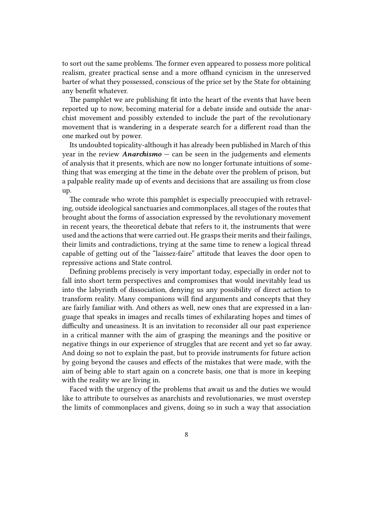to sort out the same problems. The former even appeared to possess more political realism, greater practical sense and a more offhand cynicism in the unreserved barter of what they possessed, conscious of the price set by the State for obtaining any benefit whatever.

The pamphlet we are publishing fit into the heart of the events that have been reported up to now, becoming material for a debate inside and outside the anarchist movement and possibly extended to include the part of the revolutionary movement that is wandering in a desperate search for a different road than the one marked out by power.

Its undoubted topicality-although it has already been published in March of this year in the review *Anarchismo* — can be seen in the judgements and elements of analysis that it presents, which are now no longer fortunate intuitions of something that was emerging at the time in the debate over the problem of prison, but a palpable reality made up of events and decisions that are assailing us from close up.

The comrade who wrote this pamphlet is especially preoccupied with retraveling, outside ideological sanctuaries and commonplaces, all stages of the routes that brought about the forms of association expressed by the revolutionary movement in recent years, the theoretical debate that refers to it, the instruments that were used and the actions that were carried out. He grasps their merits and their failings, their limits and contradictions, trying at the same time to renew a logical thread capable of getting out of the "laissez-faire" attitude that leaves the door open to repressive actions and State control.

Defining problems precisely is very important today, especially in order not to fall into short term perspectives and compromises that would inevitably lead us into the labyrinth of dissociation, denying us any possibility of direct action to transform reality. Many companions will find arguments and concepts that they are fairly familiar with. And others as well, new ones that are expressed in a language that speaks in images and recalls times of exhilarating hopes and times of difficulty and uneasiness. It is an invitation to reconsider all our past experience in a critical manner with the aim of grasping the meanings and the positive or negative things in our experience of struggles that are recent and yet so far away. And doing so not to explain the past, but to provide instruments for future action by going beyond the causes and effects of the mistakes that were made, with the aim of being able to start again on a concrete basis, one that is more in keeping with the reality we are living in.

Faced with the urgency of the problems that await us and the duties we would like to attribute to ourselves as anarchists and revolutionaries, we must overstep the limits of commonplaces and givens, doing so in such a way that association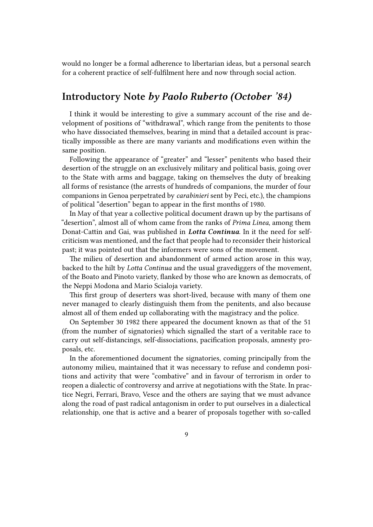would no longer be a formal adherence to libertarian ideas, but a personal search for a coherent practice of self-fulfilment here and now through social action.

## <span id="page-8-0"></span>**Introductory Note** *by Paolo Ruberto (October '84)*

I think it would be interesting to give a summary account of the rise and development of positions of "withdrawal", which range from the penitents to those who have dissociated themselves, bearing in mind that a detailed account is practically impossible as there are many variants and modifications even within the same position.

Following the appearance of "greater" and "lesser" penitents who based their desertion of the struggle on an exclusively military and political basis, going over to the State with arms and baggage, taking on themselves the duty of breaking all forms of resistance (the arrests of hundreds of companions, the murder of four companions in Genoa perpetrated by *carabinieri* sent by Peci, etc.), the champions of political "desertion" began to appear in the first months of 1980.

In May of that year a collective political document drawn up by the partisans of "desertion", almost all of whom came from the ranks of *Prima Linea*, among them Donat-Cattin and Gai, was published in *Lotta Continua*. In it the need for selfcriticism was mentioned, and the fact that people had to reconsider their historical past; it was pointed out that the informers were sons of the movement.

The milieu of desertion and abandonment of armed action arose in this way, backed to the hilt by *Lotta Continua* and the usual gravediggers of the movement, of the Boato and Pinoto variety, flanked by those who are known as democrats, of the Neppi Modona and Mario Scialoja variety.

This first group of deserters was short-lived, because with many of them one never managed to clearly distinguish them from the penitents, and also because almost all of them ended up collaborating with the magistracy and the police.

On September 30 1982 there appeared the document known as that of the 51 (from the number of signatories) which signalled the start of a veritable race to carry out self-distancings, self-dissociations, pacification proposals, amnesty proposals, etc.

In the aforementioned document the signatories, coming principally from the autonomy milieu, maintained that it was necessary to refuse and condemn positions and activity that were "combative" and in favour of terrorism in order to reopen a dialectic of controversy and arrive at negotiations with the State. In practice Negri, Ferrari, Bravo, Vesce and the others are saying that we must advance along the road of past radical antagonism in order to put ourselves in a dialectical relationship, one that is active and a bearer of proposals together with so-called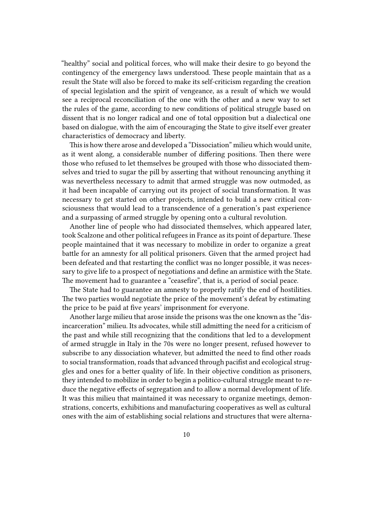"healthy" social and political forces, who will make their desire to go beyond the contingency of the emergency laws understood. These people maintain that as a result the State will also be forced to make its self-criticism regarding the creation of special legislation and the spirit of vengeance, as a result of which we would see a reciprocal reconciliation of the one with the other and a new way to set the rules of the game, according to new conditions of political struggle based on dissent that is no longer radical and one of total opposition but a dialectical one based on dialogue, with the aim of encouraging the State to give itself ever greater characteristics of democracy and liberty.

This is how there arose and developed a "Dissociation" milieu which would unite, as it went along, a considerable number of differing positions. Then there were those who refused to let themselves be grouped with those who dissociated themselves and tried to sugar the pill by asserting that without renouncing anything it was nevertheless necessary to admit that armed struggle was now outmoded, as it had been incapable of carrying out its project of social transformation. It was necessary to get started on other projects, intended to build a new critical consciousness that would lead to a transcendence of a generation's past experience and a surpassing of armed struggle by opening onto a cultural revolution.

Another line of people who had dissociated themselves, which appeared later, took Scalzone and other political refugees in France as its point of departure. These people maintained that it was necessary to mobilize in order to organize a great battle for an amnesty for all political prisoners. Given that the armed project had been defeated and that restarting the conflict was no longer possible, it was necessary to give life to a prospect of negotiations and define an armistice with the State. The movement had to guarantee a "ceasefire", that is, a period of social peace.

The State had to guarantee an amnesty to properly ratify the end of hostilities. The two parties would negotiate the price of the movement's defeat by estimating the price to be paid at five years' imprisonment for everyone.

Another large milieu that arose inside the prisons was the one known as the "disincarceration" milieu. Its advocates, while still admitting the need for a criticism of the past and while still recognizing that the conditions that led to a development of armed struggle in Italy in the 70s were no longer present, refused however to subscribe to any dissociation whatever, but admitted the need to find other roads to social transformation, roads that advanced through pacifist and ecological struggles and ones for a better quality of life. In their objective condition as prisoners, they intended to mobilize in order to begin a politico-cultural struggle meant to reduce the negative effects of segregation and to allow a normal development of life. It was this milieu that maintained it was necessary to organize meetings, demonstrations, concerts, exhibitions and manufacturing cooperatives as well as cultural ones with the aim of establishing social relations and structures that were alterna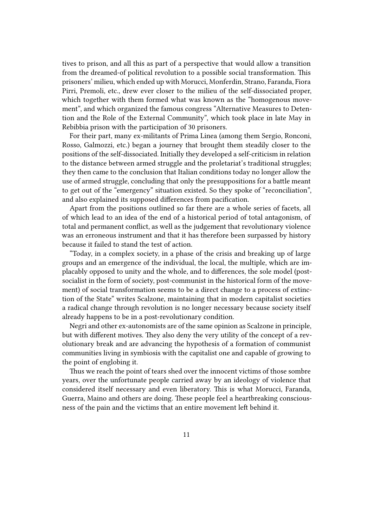tives to prison, and all this as part of a perspective that would allow a transition from the dreamed-of political revolution to a possible social transformation. This prisoners' milieu, which ended up with Morucci, Monferdin, Strano, Faranda, Fiora Pirri, Premoli, etc., drew ever closer to the milieu of the self-dissociated proper, which together with them formed what was known as the "homogenous movement", and which organized the famous congress "Alternative Measures to Detention and the Role of the External Community", which took place in late May in Rebibbia prison with the participation of 30 prisoners.

For their part, many ex-militants of Prima Linea (among them Sergio, Ronconi, Rosso, Galmozzi, etc.) began a journey that brought them steadily closer to the positions of the self-dissociated. Initially they developed a self-criticism in relation to the distance between armed struggle and the proletariat's traditional struggles; they then came to the conclusion that Italian conditions today no longer allow the use of armed struggle, concluding that only the presuppositions for a battle meant to get out of the "emergency" situation existed. So they spoke of "reconciliation", and also explained its supposed differences from pacification.

Apart from the positions outlined so far there are a whole series of facets, all of which lead to an idea of the end of a historical period of total antagonism, of total and permanent conflict, as well as the judgement that revolutionary violence was an erroneous instrument and that it has therefore been surpassed by history because it failed to stand the test of action.

"Today, in a complex society, in a phase of the crisis and breaking up of large groups and an emergence of the individual, the local, the multiple, which are implacably opposed to unity and the whole, and to differences, the sole model (postsocialist in the form of society, post-communist in the historical form of the movement) of social transformation seems to be a direct change to a process of extinction of the State" writes Scalzone, maintaining that in modern capitalist societies a radical change through revolution is no longer necessary because society itself already happens to be in a post-revolutionary condition.

Negri and other ex-autonomists are of the same opinion as Scalzone in principle, but with different motives. They also deny the very utility of the concept of a revolutionary break and are advancing the hypothesis of a formation of communist communities living in symbiosis with the capitalist one and capable of growing to the point of englobing it.

Thus we reach the point of tears shed over the innocent victims of those sombre years, over the unfortunate people carried away by an ideology of violence that considered itself necessary and even liberatory. This is what Morucci, Faranda, Guerra, Maino and others are doing. These people feel a heartbreaking consciousness of the pain and the victims that an entire movement left behind it.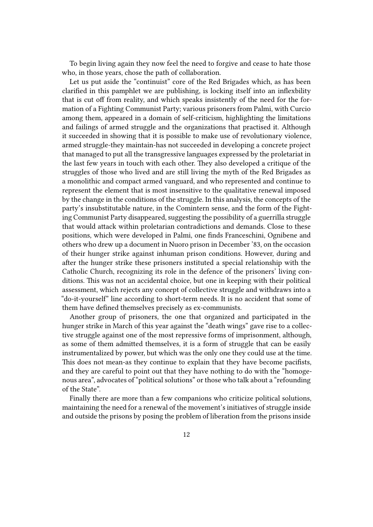To begin living again they now feel the need to forgive and cease to hate those who, in those years, chose the path of collaboration.

Let us put aside the "continuist" core of the Red Brigades which, as has been clarified in this pamphlet we are publishing, is locking itself into an inflexbility that is cut off from reality, and which speaks insistently of the need for the formation of a Fighting Communist Party; various prisoners from Palmi, with Curcio among them, appeared in a domain of self-criticism, highlighting the limitations and failings of armed struggle and the organizations that practised it. Although it succeeded in showing that it is possible to make use of revolutionary violence, armed struggle-they maintain-has not succeeded in developing a concrete project that managed to put all the transgressive languages expressed by the proletariat in the last few years in touch with each other. They also developed a critique of the struggles of those who lived and are still living the myth of the Red Brigades as a monolithic and compact armed vanguard, and who represented and continue to represent the element that is most insensitive to the qualitative renewal imposed by the change in the conditions of the struggle. In this analysis, the concepts of the party's insubstitutable nature, in the Comintern sense, and the form of the Fighting Communist Party disappeared, suggesting the possibility of a guerrilla struggle that would attack within proletarian contradictions and demands. Close to these positions, which were developed in Palmi, one finds Franceschini, Ognibene and others who drew up a document in Nuoro prison in December '83, on the occasion of their hunger strike against inhuman prison conditions. However, during and after the hunger strike these prisoners instituted a special relationship with the Catholic Church, recognizing its role in the defence of the prisoners' living conditions. This was not an accidental choice, but one in keeping with their political assessment, which rejects any concept of collective struggle and withdraws into a "do-it-yourself" line according to short-term needs. It is no accident that some of them have defined themselves precisely as ex-communists.

Another group of prisoners, the one that organized and participated in the hunger strike in March of this year against the "death wings" gave rise to a collective struggle against one of the most repressive forms of imprisonment, although, as some of them admitted themselves, it is a form of struggle that can be easily instrumentalized by power, but which was the only one they could use at the time. This does not mean-as they continue to explain that they have become pacifists, and they are careful to point out that they have nothing to do with the "homogenous area", advocates of "political solutions" or those who talk about a "refounding of the State".

Finally there are more than a few companions who criticize political solutions, maintaining the need for a renewal of the movement's initiatives of struggle inside and outside the prisons by posing the problem of liberation from the prisons inside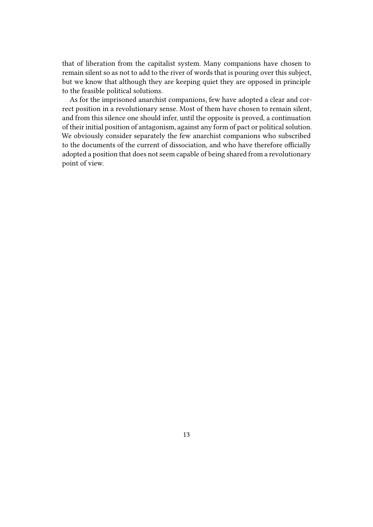that of liberation from the capitalist system. Many companions have chosen to remain silent so as not to add to the river of words that is pouring over this subject, but we know that although they are keeping quiet they are opposed in principle to the feasible political solutions.

As for the imprisoned anarchist companions, few have adopted a clear and correct position in a revolutionary sense. Most of them have chosen to remain silent, and from this silence one should infer, until the opposite is proved, a continuation of their initial position of antagonism, against any form of pact or political solution. We obviously consider separately the few anarchist companions who subscribed to the documents of the current of dissociation, and who have therefore officially adopted a position that does not seem capable of being shared from a revolutionary point of view.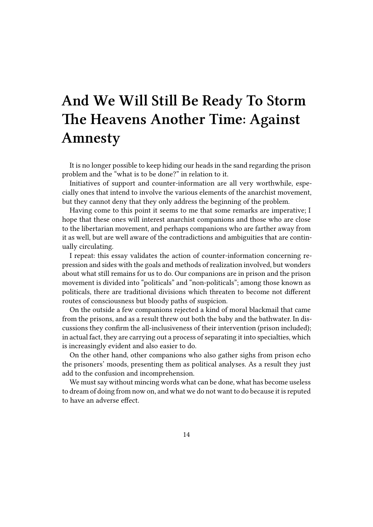# <span id="page-13-0"></span>**And We Will Still Be Ready To Storm The Heavens Another Time: Against Amnesty**

It is no longer possible to keep hiding our heads in the sand regarding the prison problem and the "what is to be done?" in relation to it.

Initiatives of support and counter-information are all very worthwhile, especially ones that intend to involve the various elements of the anarchist movement, but they cannot deny that they only address the beginning of the problem.

Having come to this point it seems to me that some remarks are imperative; I hope that these ones will interest anarchist companions and those who are close to the libertarian movement, and perhaps companions who are farther away from it as well, but are well aware of the contradictions and ambiguities that are continually circulating.

I repeat: this essay validates the action of counter-information concerning repression and sides with the goals and methods of realization involved, but wonders about what still remains for us to do. Our companions are in prison and the prison movement is divided into "politicals" and "non-politicals"; among those known as politicals, there are traditional divisions which threaten to become not different routes of consciousness but bloody paths of suspicion.

On the outside a few companions rejected a kind of moral blackmail that came from the prisons, and as a result threw out both the baby and the bathwater. In discussions they confirm the all-inclusiveness of their intervention (prison included); in actual fact, they are carrying out a process of separating it into specialties, which is increasingly evident and also easier to do.

On the other hand, other companions who also gather sighs from prison echo the prisoners' moods, presenting them as political analyses. As a result they just add to the confusion and incomprehension.

We must say without mincing words what can be done, what has become useless to dream of doing from now on, and what we do not want to do because it is reputed to have an adverse effect.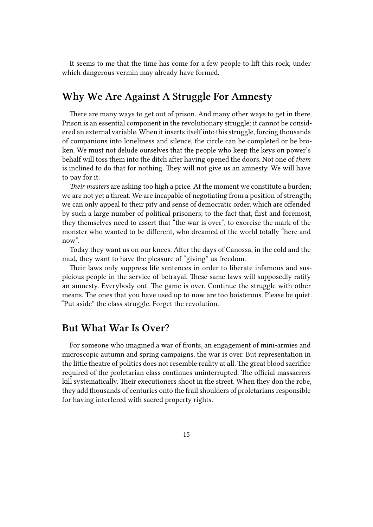It seems to me that the time has come for a few people to lift this rock, under which dangerous vermin may already have formed.

# <span id="page-14-0"></span>**Why We Are Against A Struggle For Amnesty**

There are many ways to get out of prison. And many other ways to get in there. Prison is an essential component in the revolutionary struggle; it cannot be considered an external variable. When it inserts itself into this struggle, forcing thousands of companions into loneliness and silence, the circle can be completed or be broken. We must not delude ourselves that the people who keep the keys on power's behalf will toss them into the ditch after having opened the doors. Not one of *them* is inclined to do that for nothing. They will not give us an amnesty. We will have to pay for it.

*Their masters* are asking too high a price. At the moment we constitute a burden; we are not yet a threat. We are incapable of negotiating from a position of strength; we can only appeal to their pity and sense of democratic order, which are offended by such a large number of political prisoners; to the fact that, first and foremost, they themselves need to assert that "the war is over", to exorcise the mark of the monster who wanted to be different, who dreamed of the world totally "here and now".

Today they want us on our knees. After the days of Canossa, in the cold and the mud, they want to have the pleasure of "giving" us freedom.

Their laws only suppress life sentences in order to liberate infamous and suspicious people in the service of betrayal. These same laws will supposedly ratify an amnesty. Everybody out. The game is over. Continue the struggle with other means. The ones that you have used up to now are too boisterous. Please be quiet. "Put aside" the class struggle. Forget the revolution.

## <span id="page-14-1"></span>**But What War Is Over?**

For someone who imagined a war of fronts, an engagement of mini-armies and microscopic autumn and spring campaigns, the war is over. But representation in the little theatre of politics does not resemble reality at all. The great blood sacrifice required of the proletarian class continues uninterrupted. The official massacrers kill systematically. Their executioners shoot in the street. When they don the robe, they add thousands of centuries onto the frail shoulders of proletarians responsible for having interfered with sacred property rights.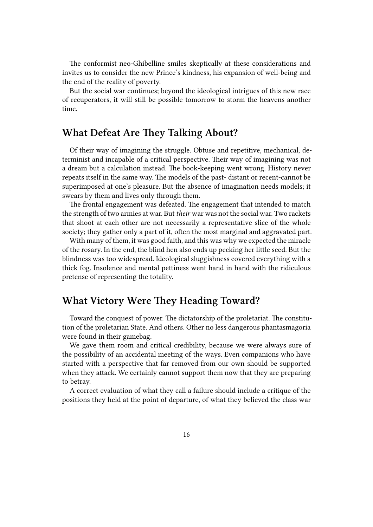The conformist neo-Ghibelline smiles skeptically at these considerations and invites us to consider the new Prince's kindness, his expansion of well-being and the end of the reality of poverty.

But the social war continues; beyond the ideological intrigues of this new race of recuperators, it will still be possible tomorrow to storm the heavens another time.

## <span id="page-15-0"></span>**What Defeat Are They Talking About?**

Of their way of imagining the struggle. Obtuse and repetitive, mechanical, determinist and incapable of a critical perspective. Their way of imagining was not a dream but a calculation instead. The book-keeping went wrong. History never repeats itself in the same way. The models of the past- distant or recent-cannot be superimposed at one's pleasure. But the absence of imagination needs models; it swears by them and lives only through them.

The frontal engagement was defeated. The engagement that intended to match the strength of two armies at war. But *their* war was not the social war. Two rackets that shoot at each other are not necessarily a representative slice of the whole society; they gather only a part of it, often the most marginal and aggravated part.

With many of them, it was good faith, and this was why we expected the miracle of the rosary. In the end, the blind hen also ends up pecking her little seed. But the blindness was too widespread. Ideological sluggishness covered everything with a thick fog. Insolence and mental pettiness went hand in hand with the ridiculous pretense of representing the totality.

## <span id="page-15-1"></span>**What Victory Were They Heading Toward?**

Toward the conquest of power. The dictatorship of the proletariat. The constitution of the proletarian State. And others. Other no less dangerous phantasmagoria were found in their gamebag.

We gave them room and critical credibility, because we were always sure of the possibility of an accidental meeting of the ways. Even companions who have started with a perspective that far removed from our own should be supported when they attack. We certainly cannot support them now that they are preparing to betray.

A correct evaluation of what they call a failure should include a critique of the positions they held at the point of departure, of what they believed the class war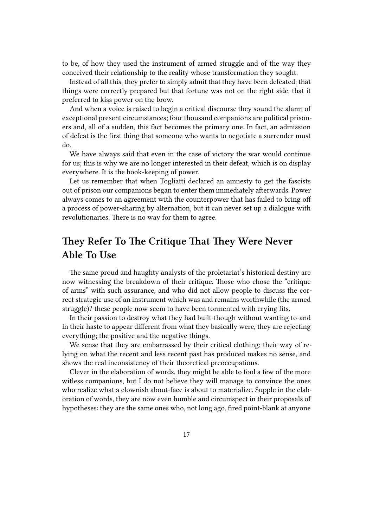to be, of how they used the instrument of armed struggle and of the way they conceived their relationship to the reality whose transformation they sought.

Instead of all this, they prefer to simply admit that they have been defeated; that things were correctly prepared but that fortune was not on the right side, that it preferred to kiss power on the brow.

And when a voice is raised to begin a critical discourse they sound the alarm of exceptional present circumstances; four thousand companions are political prisoners and, all of a sudden, this fact becomes the primary one. In fact, an admission of defeat is the first thing that someone who wants to negotiate a surrender must do.

We have always said that even in the case of victory the war would continue for us; this is why we are no longer interested in their defeat, which is on display everywhere. It is the book-keeping of power.

Let us remember that when Togliatti declared an amnesty to get the fascists out of prison our companions began to enter them immediately afterwards. Power always comes to an agreement with the counterpower that has failed to bring off a process of power-sharing by alternation, but it can never set up a dialogue with revolutionaries. There is no way for them to agree.

# <span id="page-16-0"></span>**They Refer To The Critique That They Were Never Able To Use**

The same proud and haughty analysts of the proletariat's historical destiny are now witnessing the breakdown of their critique. Those who chose the "critique of arms" with such assurance, and who did not allow people to discuss the correct strategic use of an instrument which was and remains worthwhile (the armed struggle)? these people now seem to have been tormented with crying fits.

In their passion to destroy what they had built-though without wanting to-and in their haste to appear different from what they basically were, they are rejecting everything; the positive and the negative things.

We sense that they are embarrassed by their critical clothing; their way of relying on what the recent and less recent past has produced makes no sense, and shows the real inconsistency of their theoretical preoccupations.

Clever in the elaboration of words, they might be able to fool a few of the more witless companions, but I do not believe they will manage to convince the ones who realize what a clownish about-face is about to materialize. Supple in the elaboration of words, they are now even humble and circumspect in their proposals of hypotheses: they are the same ones who, not long ago, fired point-blank at anyone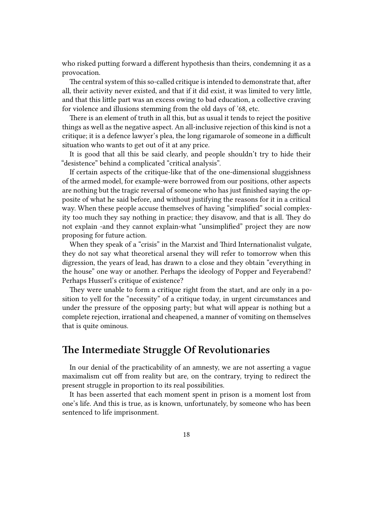who risked putting forward a different hypothesis than theirs, condemning it as a provocation.

The central system of this so-called critique is intended to demonstrate that, after all, their activity never existed, and that if it did exist, it was limited to very little, and that this little part was an excess owing to bad education, a collective craving for violence and illusions stemming from the old days of '68, etc.

There is an element of truth in all this, but as usual it tends to reject the positive things as well as the negative aspect. An all-inclusive rejection of this kind is not a critique; it is a defence lawyer's plea, the long rigamarole of someone in a difficult situation who wants to get out of it at any price.

It is good that all this be said clearly, and people shouldn't try to hide their "desistence" behind a complicated "critical analysis".

If certain aspects of the critique-like that of the one-dimensional sluggishness of the armed model, for example-were borrowed from our positions, other aspects are nothing but the tragic reversal of someone who has just finished saying the opposite of what he said before, and without justifying the reasons for it in a critical way. When these people accuse themselves of having "simplified" social complexity too much they say nothing in practice; they disavow, and that is all. They do not explain -and they cannot explain-what "unsimplified" project they are now proposing for future action.

When they speak of a "crisis" in the Marxist and Third Internationalist vulgate, they do not say what theoretical arsenal they will refer to tomorrow when this digression, the years of lead, has drawn to a close and they obtain "everything in the house" one way or another. Perhaps the ideology of Popper and Feyerabend? Perhaps Husserl's critique of existence?

They were unable to form a critique right from the start, and are only in a position to yell for the "necessity" of a critique today, in urgent circumstances and under the pressure of the opposing party; but what will appear is nothing but a complete rejection, irrational and cheapened, a manner of vomiting on themselves that is quite ominous.

#### <span id="page-17-0"></span>**The Intermediate Struggle Of Revolutionaries**

In our denial of the practicability of an amnesty, we are not asserting a vague maximalism cut off from reality but are, on the contrary, trying to redirect the present struggle in proportion to its real possibilities.

It has been asserted that each moment spent in prison is a moment lost from one's life. And this is true, as is known, unfortunately, by someone who has been sentenced to life imprisonment.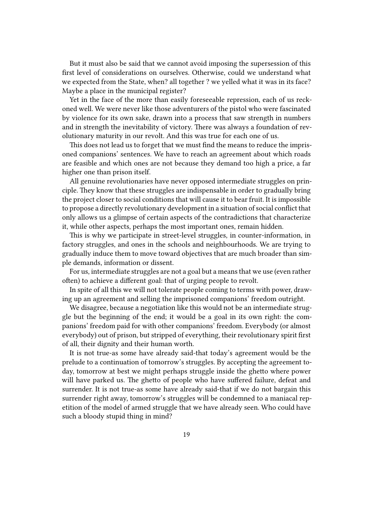But it must also be said that we cannot avoid imposing the supersession of this first level of considerations on ourselves. Otherwise, could we understand what we expected from the State, when? all together ? we yelled what it was in its face? Maybe a place in the municipal register?

Yet in the face of the more than easily foreseeable repression, each of us reckoned well. We were never like those adventurers of the pistol who were fascinated by violence for its own sake, drawn into a process that saw strength in numbers and in strength the inevitability of victory. There was always a foundation of revolutionary maturity in our revolt. And this was true for each one of us.

This does not lead us to forget that we must find the means to reduce the imprisoned companions' sentences. We have to reach an agreement about which roads are feasible and which ones are not because they demand too high a price, a far higher one than prison itself.

All genuine revolutionaries have never opposed intermediate struggles on principle. They know that these struggles are indispensable in order to gradually bring the project closer to social conditions that will cause it to bear fruit. It is impossible to propose a directly revolutionary development in a situation of social conflict that only allows us a glimpse of certain aspects of the contradictions that characterize it, while other aspects, perhaps the most important ones, remain hidden.

This is why we participate in street-level struggles, in counter-information, in factory struggles, and ones in the schools and neighbourhoods. We are trying to gradually induce them to move toward objectives that are much broader than simple demands, information or dissent.

For us, intermediate struggles are not a goal but a means that we use (even rather often) to achieve a different goal: that of urging people to revolt.

In spite of all this we will not tolerate people coming to terms with power, drawing up an agreement and selling the imprisoned companions' freedom outright.

We disagree, because a negotiation like this would not be an intermediate struggle but the beginning of the end; it would be a goal in its own right: the companions' freedom paid for with other companions' freedom. Everybody (or almost everybody) out of prison, but stripped of everything, their revolutionary spirit first of all, their dignity and their human worth.

It is not true-as some have already said-that today's agreement would be the prelude to a continuation of tomorrow's struggles. By accepting the agreement today, tomorrow at best we might perhaps struggle inside the ghetto where power will have parked us. The ghetto of people who have suffered failure, defeat and surrender. It is not true-as some have already said-that if we do not bargain this surrender right away, tomorrow's struggles will be condemned to a maniacal repetition of the model of armed struggle that we have already seen. Who could have such a bloody stupid thing in mind?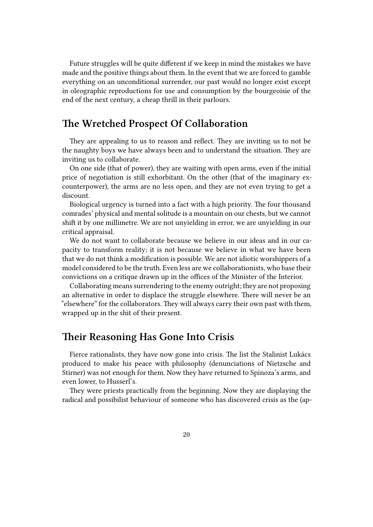Future struggles will be quite different if we keep in mind the mistakes we have made and the positive things about them. In the event that we are forced to gamble everything on an unconditional surrender, our past would no longer exist except in oleographic reproductions for use and consumption by the bourgeoisie of the end of the next century, a cheap thrill in their parlours.

## <span id="page-19-0"></span>**The Wretched Prospect Of Collaboration**

They are appealing to us to reason and reflect. They are inviting us to not be the naughty boys we have always been and to understand the situation. They are inviting us to collaborate.

On one side (that of power), they are waiting with open arms, even if the initial price of negotiation is still exhorbitant. On the other (that of the imaginary excounterpower), the arms are no less open, and they are not even trying to get a discount.

Biological urgency is turned into a fact with a high priority. The four thousand comrades' physical and mental solitude is a mountain on our chests, but we cannot shift it by one millimetre. We are not unyielding in error, we are unyielding in our critical appraisal.

We do not want to collaborate because we believe in our ideas and in our capacity to transform reality; it is not because we believe in what we have been that we do not think a modification is possible. We are not idiotic worshippers of a model considered to be the truth. Even less are we collaborationists, who base their convictions on a critique drawn up in the offices of the Minister of the Interior.

Collaborating means surrendering to the enemy outright; they are not proposing an alternative in order to displace the struggle elsewhere. There will never be an "elsewhere" for the collaborators. They will always carry their own past with them, wrapped up in the shit of their present.

#### <span id="page-19-1"></span>**Their Reasoning Has Gone Into Crisis**

Fierce rationalists, they have now gone into crisis. The list the Stalinist Lukács produced to make his peace with philosophy (denunciations of Nietzsche and Stirner) was not enough for them. Now they have returned to Spinoza's arms, and even lower, to Husserl's.

They were priests practically from the beginning. Now they are displaying the radical and possibilist behaviour of someone who has discovered crisis as the (ap-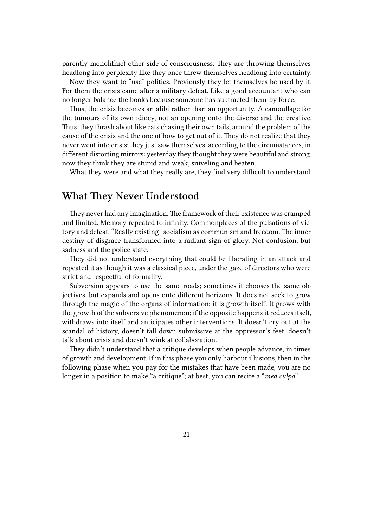parently monolithic) other side of consciousness. They are throwing themselves headlong into perplexity like they once threw themselves headlong into certainty.

Now they want to "use" politics. Previously they let themselves be used by it. For them the crisis came after a military defeat. Like a good accountant who can no longer balance the books because someone has subtracted them-by force.

Thus, the crisis becomes an alibi rather than an opportunity. A camouflage for the tumours of its own idiocy, not an opening onto the diverse and the creative. Thus, they thrash about like cats chasing their own tails, around the problem of the cause of the crisis and the one of how to get out of it. They do not realize that they never went into crisis; they just saw themselves, according to the circumstances, in different distorting mirrors: yesterday they thought they were beautiful and strong, now they think they are stupid and weak, sniveling and beaten.

What they were and what they really are, they find very difficult to understand.

## <span id="page-20-0"></span>**What They Never Understood**

They never had any imagination. The framework of their existence was cramped and limited. Memory repeated to infinity. Commonplaces of the pulsations of victory and defeat. "Really existing" socialism as communism and freedom. The inner destiny of disgrace transformed into a radiant sign of glory. Not confusion, but sadness and the police state.

They did not understand everything that could be liberating in an attack and repeated it as though it was a classical piece, under the gaze of directors who were strict and respectful of formality.

Subversion appears to use the same roads; sometimes it chooses the same objectives, but expands and opens onto different horizons. It does not seek to grow through the magic of the organs of information: it is growth itself. It grows with the growth of the subversive phenomenon; if the opposite happens it reduces itself, withdraws into itself and anticipates other interventions. It doesn't cry out at the scandal of history, doesn't fall down submissive at the oppressor's feet, doesn't talk about crisis and doesn't wink at collaboration.

They didn't understand that a critique develops when people advance, in times of growth and development. If in this phase you only harbour illusions, then in the following phase when you pay for the mistakes that have been made, you are no longer in a position to make "a critique"; at best, you can recite a "*mea culpa*".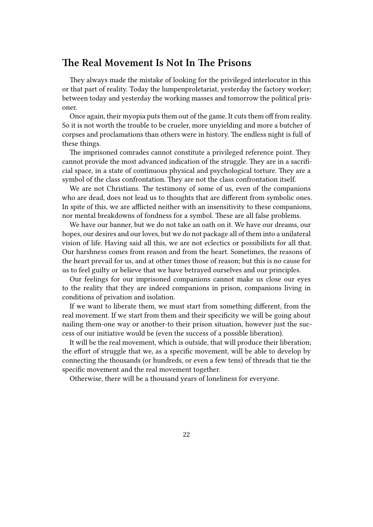#### <span id="page-21-0"></span>**The Real Movement Is Not In The Prisons**

They always made the mistake of looking for the privileged interlocutor in this or that part of reality. Today the lumpenproletariat, yesterday the factory worker; between today and yesterday the working masses and tomorrow the political prisoner.

Once again, their myopia puts them out of the game. It cuts them off from reality. So it is not worth the trouble to be crueler, more unyielding and more a butcher of corpses and proclamations than others were in history. The endless night is full of these things.

The imprisoned comrades cannot constitute a privileged reference point. They cannot provide the most advanced indication of the struggle. They are in a sacrificial space, in a state of continuous physical and psychological torture. They are a symbol of the class confrontation. They are not the class confrontation itself.

We are not Christians. The testimony of some of us, even of the companions who are dead, does not lead us to thoughts that are different from symbolic ones. In spite of this, we are afflicted neither with an insensitivity to these companions, nor mental breakdowns of fondness for a symbol. These are all false problems.

We have our banner, but we do not take an oath on it. We have our dreams, our hopes, our desires and our loves, but we do not package all of them into a unilateral vision of life. Having said all this, we are not eclectics or possibilists for all that. Our harshness comes from reason and from the heart. Sometimes, the reasons of the heart prevail for us, and at other times those of reason; but this is no cause for us to feel guilty or believe that we have betrayed ourselves and our principles.

Our feelings for our imprisoned companions cannot make us close our eyes to the reality that they are indeed companions in prison, companions living in conditions of privation and isolation.

If we want to liberate them, we must start from something different, from the real movement. If we start from them and their specificity we will be going about nailing them-one way or another-to their prison situation, however just the success of our initiative would be (even the success of a possible liberation).

It will be the real movement, which is outside, that will produce their liberation; the effort of struggle that we, as a specific movement, will be able to develop by connecting the thousands (or hundreds, or even a few tens) of threads that tie the specific movement and the real movement together.

Otherwise, there will be a thousand years of loneliness for everyone.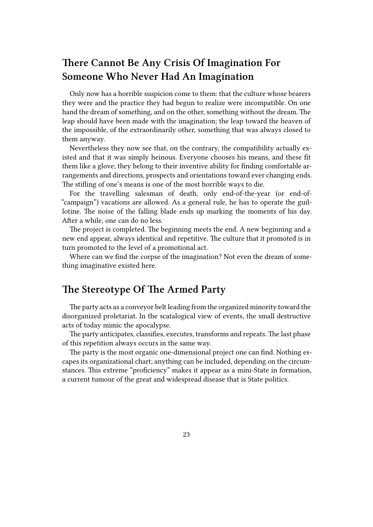# <span id="page-22-0"></span>**There Cannot Be Any Crisis Of Imagination For Someone Who Never Had An Imagination**

Only now has a horrible suspicion come to them: that the culture whose bearers they were and the practice they had begun to realize were incompatible. On one hand the dream of something, and on the other, something without the dream. The leap should have been made with the imagination; the leap toward the heaven of the impossible, of the extraordinarily other, something that was always closed to them anyway.

Nevertheless they now see that, on the contrary, the compatibility actually existed and that it was simply heinous. Everyone chooses his means, and these fit them like a glove; they belong to their inventive ability for finding comfortable arrangements and directions, prospects and orientations toward ever changing ends. The stifling of one's means is one of the most horrible ways to die.

For the travelling salesman of death, only end-of-the-year (or end-of- "campaign") vacations are allowed. As a general rule, he has to operate the guillotine. The noise of the falling blade ends up marking the moments of his day. After a while, one can do no less.

The project is completed. The beginning meets the end. A new beginning and a new end appear, always identical and repetitive. The culture that it promoted is in turn promoted to the level of a promotional act.

Where can we find the corpse of the imagination? Not even the dream of something imaginative existed here.

## <span id="page-22-1"></span>**The Stereotype Of The Armed Party**

The party acts as a conveyor belt leading from the organized minority toward the disorganized proletariat. In the scatalogical view of events, the small destructive acts of today mimic the apocalypse.

The party anticipates, classifies, executes, transforms and repeats. The last phase of this repetition always occurs in the same way.

The party is the most organic one-dimensional project one can find. Nothing escapes its organizational chart; anything can be included, depending on the circumstances. This extreme "proficiency" makes it appear as a mini-State in formation, a current tumour of the great and widespread disease that is State politics.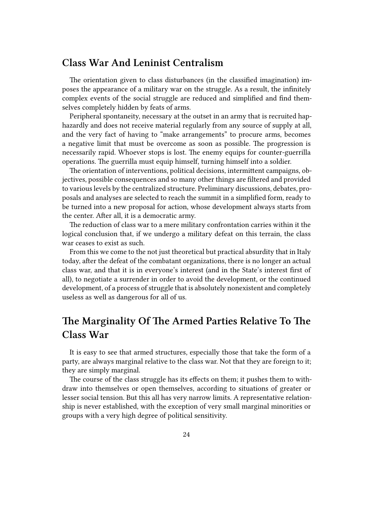# <span id="page-23-0"></span>**Class War And Leninist Centralism**

The orientation given to class disturbances (in the classified imagination) imposes the appearance of a military war on the struggle. As a result, the infinitely complex events of the social struggle are reduced and simplified and find themselves completely hidden by feats of arms.

Peripheral spontaneity, necessary at the outset in an army that is recruited haphazardly and does not receive material regularly from any source of supply at all, and the very fact of having to "make arrangements" to procure arms, becomes a negative limit that must be overcome as soon as possible. The progression is necessarily rapid. Whoever stops is lost. The enemy equips for counter-guerrilla operations. The guerrilla must equip himself, turning himself into a soldier.

The orientation of interventions, political decisions, intermittent campaigns, objectives, possible consequences and so many other things are filtered and provided to various levels by the centralized structure. Preliminary discussions, debates, proposals and analyses are selected to reach the summit in a simplified form, ready to be turned into a new proposal for action, whose development always starts from the center. After all, it is a democratic army.

The reduction of class war to a mere military confrontation carries within it the logical conclusion that, if we undergo a military defeat on this terrain, the class war ceases to exist as such.

From this we come to the not just theoretical but practical absurdity that in Italy today, after the defeat of the combatant organizations, there is no longer an actual class war, and that it is in everyone's interest (and in the State's interest first of all), to negotiate a surrender in order to avoid the development, or the continued development, of a process of struggle that is absolutely nonexistent and completely useless as well as dangerous for all of us.

# <span id="page-23-1"></span>**The Marginality Of The Armed Parties Relative To The Class War**

It is easy to see that armed structures, especially those that take the form of a party, are always marginal relative to the class war. Not that they are foreign to it; they are simply marginal.

The course of the class struggle has its effects on them; it pushes them to withdraw into themselves or open themselves, according to situations of greater or lesser social tension. But this all has very narrow limits. A representative relationship is never established, with the exception of very small marginal minorities or groups with a very high degree of political sensitivity.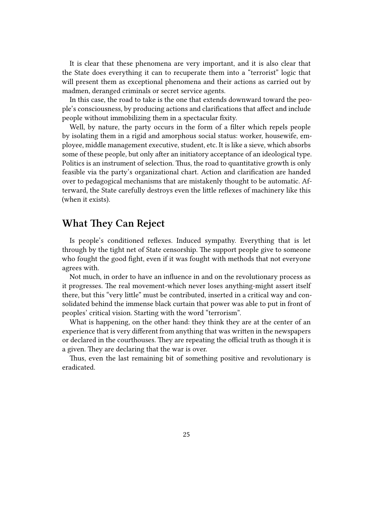It is clear that these phenomena are very important, and it is also clear that the State does everything it can to recuperate them into a "terrorist" logic that will present them as exceptional phenomena and their actions as carried out by madmen, deranged criminals or secret service agents.

In this case, the road to take is the one that extends downward toward the people's consciousness, by producing actions and clarifications that affect and include people without immobilizing them in a spectacular fixity.

Well, by nature, the party occurs in the form of a filter which repels people by isolating them in a rigid and amorphous social status: worker, housewife, employee, middle management executive, student, etc. It is like a sieve, which absorbs some of these people, but only after an initiatory acceptance of an ideological type. Politics is an instrument of selection. Thus, the road to quantitative growth is only feasible via the party's organizational chart. Action and clarification are handed over to pedagogical mechanisms that are mistakenly thought to be automatic. Afterward, the State carefully destroys even the little reflexes of machinery like this (when it exists).

# <span id="page-24-0"></span>**What They Can Reject**

Is people's conditioned reflexes. Induced sympathy. Everything that is let through by the tight net of State censorship. The support people give to someone who fought the good fight, even if it was fought with methods that not everyone agrees with.

Not much, in order to have an influence in and on the revolutionary process as it progresses. The real movement-which never loses anything-might assert itself there, but this "very little" must be contributed, inserted in a critical way and consolidated behind the immense black curtain that power was able to put in front of peoples' critical vision. Starting with the word "terrorism".

What is happening, on the other hand: they think they are at the center of an experience that is very different from anything that was written in the newspapers or declared in the courthouses. They are repeating the official truth as though it is a given. They are declaring that the war is over.

Thus, even the last remaining bit of something positive and revolutionary is eradicated.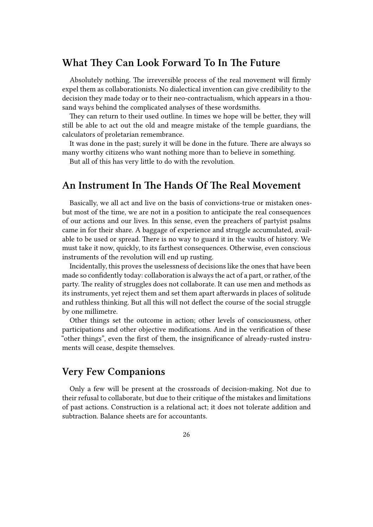# <span id="page-25-0"></span>**What They Can Look Forward To In The Future**

Absolutely nothing. The irreversible process of the real movement will firmly expel them as collaborationists. No dialectical invention can give credibility to the decision they made today or to their neo-contractualism, which appears in a thousand ways behind the complicated analyses of these wordsmiths.

They can return to their used outline. In times we hope will be better, they will still be able to act out the old and meagre mistake of the temple guardians, the calculators of proletarian remembrance.

It was done in the past; surely it will be done in the future. There are always so many worthy citizens who want nothing more than to believe in something.

But all of this has very little to do with the revolution.

#### <span id="page-25-1"></span>**An Instrument In The Hands Of The Real Movement**

Basically, we all act and live on the basis of convictions-true or mistaken onesbut most of the time, we are not in a position to anticipate the real consequences of our actions and our lives. In this sense, even the preachers of partyist psalms came in for their share. A baggage of experience and struggle accumulated, available to be used or spread. There is no way to guard it in the vaults of history. We must take it now, quickly, to its farthest consequences. Otherwise, even conscious instruments of the revolution will end up rusting.

Incidentally, this proves the uselessness of decisions like the ones that have been made so confidently today: collaboration is always the act of a part, or rather, of the party. The reality of struggles does not collaborate. It can use men and methods as its instruments, yet reject them and set them apart afterwards in places of solitude and ruthless thinking. But all this will not deflect the course of the social struggle by one millimetre.

Other things set the outcome in action; other levels of consciousness, other participations and other objective modifications. And in the verification of these "other things", even the first of them, the insignificance of already-rusted instruments will cease, despite themselves.

### <span id="page-25-2"></span>**Very Few Companions**

Only a few will be present at the crossroads of decision-making. Not due to their refusal to collaborate, but due to their critique of the mistakes and limitations of past actions. Construction is a relational act; it does not tolerate addition and subtraction. Balance sheets are for accountants.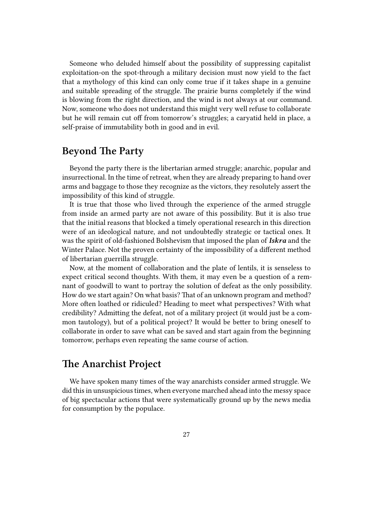Someone who deluded himself about the possibility of suppressing capitalist exploitation-on the spot-through a military decision must now yield to the fact that a mythology of this kind can only come true if it takes shape in a genuine and suitable spreading of the struggle. The prairie burns completely if the wind is blowing from the right direction, and the wind is not always at our command. Now, someone who does not understand this might very well refuse to collaborate but he will remain cut off from tomorrow's struggles; a caryatid held in place, a self-praise of immutability both in good and in evil.

## <span id="page-26-0"></span>**Beyond The Party**

Beyond the party there is the libertarian armed struggle; anarchic, popular and insurrectional. In the time of retreat, when they are already preparing to hand over arms and baggage to those they recognize as the victors, they resolutely assert the impossibility of this kind of struggle.

It is true that those who lived through the experience of the armed struggle from inside an armed party are not aware of this possibility. But it is also true that the initial reasons that blocked a timely operational research in this direction were of an ideological nature, and not undoubtedly strategic or tactical ones. It was the spirit of old-fashioned Bolshevism that imposed the plan of *Iskra* and the Winter Palace. Not the proven certainty of the impossibility of a different method of libertarian guerrilla struggle.

Now, at the moment of collaboration and the plate of lentils, it is senseless to expect critical second thoughts. With them, it may even be a question of a remnant of goodwill to want to portray the solution of defeat as the only possibility. How do we start again? On what basis? That of an unknown program and method? More often loathed or ridiculed? Heading to meet what perspectives? With what credibility? Admitting the defeat, not of a military project (it would just be a common tautology), but of a political project? It would be better to bring oneself to collaborate in order to save what can be saved and start again from the beginning tomorrow, perhaps even repeating the same course of action.

## <span id="page-26-1"></span>**The Anarchist Project**

We have spoken many times of the way anarchists consider armed struggle. We did this in unsuspicious times, when everyone marched ahead into the messy space of big spectacular actions that were systematically ground up by the news media for consumption by the populace.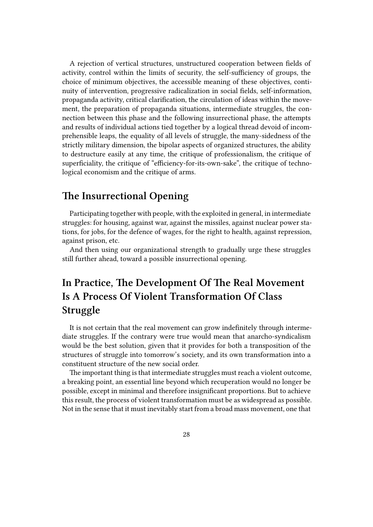A rejection of vertical structures, unstructured cooperation between fields of activity, control within the limits of security, the self-sufficiency of groups, the choice of minimum objectives, the accessible meaning of these objectives, continuity of intervention, progressive radicalization in social fields, self-information, propaganda activity, critical clarification, the circulation of ideas within the movement, the preparation of propaganda situations, intermediate struggles, the connection between this phase and the following insurrectional phase, the attempts and results of individual actions tied together by a logical thread devoid of incomprehensible leaps, the equality of all levels of struggle, the many-sidedness of the strictly military dimension, the bipolar aspects of organized structures, the ability to destructure easily at any time, the critique of professionalism, the critique of superficiality, the critique of "efficiency-for-its-own-sake", the critique of technological economism and the critique of arms.

# <span id="page-27-0"></span>**The Insurrectional Opening**

Participating together with people, with the exploited in general, in intermediate struggles: for housing, against war, against the missiles, against nuclear power stations, for jobs, for the defence of wages, for the right to health, against repression, against prison, etc.

And then using our organizational strength to gradually urge these struggles still further ahead, toward a possible insurrectional opening.

# <span id="page-27-1"></span>**In Practice, The Development Of The Real Movement Is A Process Of Violent Transformation Of Class Struggle**

It is not certain that the real movement can grow indefinitely through intermediate struggles. If the contrary were true would mean that anarcho-syndicalism would be the best solution, given that it provides for both a transposition of the structures of struggle into tomorrow's society, and its own transformation into a constituent structure of the new social order.

The important thing is that intermediate struggles must reach a violent outcome, a breaking point, an essential line beyond which recuperation would no longer be possible, except in minimal and therefore insignificant proportions. But to achieve this result, the process of violent transformation must be as widespread as possible. Not in the sense that it must inevitably start from a broad mass movement, one that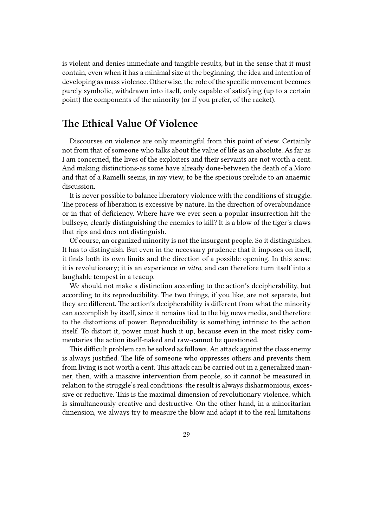is violent and denies immediate and tangible results, but in the sense that it must contain, even when it has a minimal size at the beginning, the idea and intention of developing as mass violence. Otherwise, the role of the specific movement becomes purely symbolic, withdrawn into itself, only capable of satisfying (up to a certain point) the components of the minority (or if you prefer, of the racket).

## **The Ethical Value Of Violence**

Discourses on violence are only meaningful from this point of view. Certainly not from that of someone who talks about the value of life as an absolute. As far as I am concerned, the lives of the exploiters and their servants are not worth a cent. And making distinctions-as some have already done-between the death of a Moro and that of a Ramelli seems, in my view, to be the specious prelude to an anaemic discussion.

It is never possible to balance liberatory violence with the conditions of struggle. The process of liberation is excessive by nature. In the direction of overabundance or in that of deficiency. Where have we ever seen a popular insurrection hit the bullseye, clearly distinguishing the enemies to kill? It is a blow of the tiger's claws that rips and does not distinguish.

Of course, an organized minority is not the insurgent people. So it distinguishes. It has to distinguish. But even in the necessary prudence that it imposes on itself, it finds both its own limits and the direction of a possible opening. In this sense it is revolutionary; it is an experience *in vitro*, and can therefore turn itself into a laughable tempest in a teacup.

We should not make a distinction according to the action's decipherability, but according to its reproducibility. The two things, if you like, are not separate, but they are different. The action's decipherability is different from what the minority can accomplish by itself, since it remains tied to the big news media, and therefore to the distortions of power. Reproducibility is something intrinsic to the action itself. To distort it, power must hush it up, because even in the most risky commentaries the action itself-naked and raw-cannot be questioned.

This difficult problem can be solved as follows. An attack against the class enemy is always justified. The life of someone who oppresses others and prevents them from living is not worth a cent. This attack can be carried out in a generalized manner, then, with a massive intervention from people, so it cannot be measured in relation to the struggle's real conditions: the result is always disharmonious, excessive or reductive. This is the maximal dimension of revolutionary violence, which is simultaneously creative and destructive. On the other hand, in a minoritarian dimension, we always try to measure the blow and adapt it to the real limitations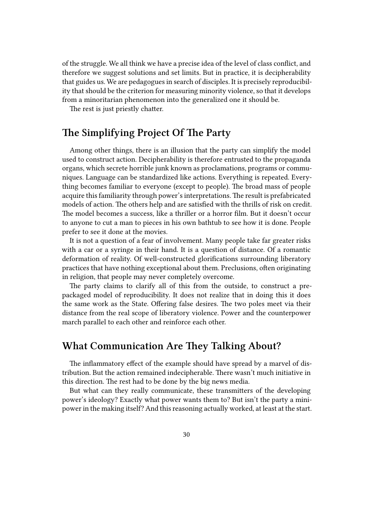of the struggle. We all think we have a precise idea of the level of class conflict, and therefore we suggest solutions and set limits. But in practice, it is decipherability that guides us. We are pedagogues in search of disciples. It is precisely reproducibility that should be the criterion for measuring minority violence, so that it develops from a minoritarian phenomenon into the generalized one it should be.

The rest is just priestly chatter.

# <span id="page-29-0"></span>**The Simplifying Project Of The Party**

Among other things, there is an illusion that the party can simplify the model used to construct action. Decipherability is therefore entrusted to the propaganda organs, which secrete horrible junk known as proclamations, programs or communiques. Language can be standardized like actions. Everything is repeated. Everything becomes familiar to everyone (except to people). The broad mass of people acquire this familiarity through power's interpretations. The result is prefabricated models of action. The others help and are satisfied with the thrills of risk on credit. The model becomes a success, like a thriller or a horror film. But it doesn't occur to anyone to cut a man to pieces in his own bathtub to see how it is done. People prefer to see it done at the movies.

It is not a question of a fear of involvement. Many people take far greater risks with a car or a syringe in their hand. It is a question of distance. Of a romantic deformation of reality. Of well-constructed glorifications surrounding liberatory practices that have nothing exceptional about them. Preclusions, often originating in religion, that people may never completely overcome.

The party claims to clarify all of this from the outside, to construct a prepackaged model of reproducibility. It does not realize that in doing this it does the same work as the State. Offering false desires. The two poles meet via their distance from the real scope of liberatory violence. Power and the counterpower march parallel to each other and reinforce each other.

#### **What Communication Are They Talking About?**

The inflammatory effect of the example should have spread by a marvel of distribution. But the action remained indecipherable. There wasn't much initiative in this direction. The rest had to be done by the big news media.

But what can they really communicate, these transmitters of the developing power's ideology? Exactly what power wants them to? But isn't the party a minipower in the making itself? And this reasoning actually worked, at least at the start.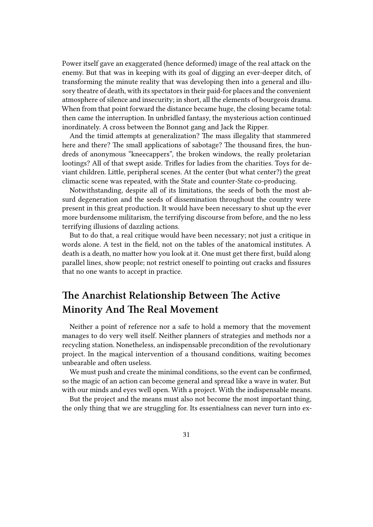Power itself gave an exaggerated (hence deformed) image of the real attack on the enemy. But that was in keeping with its goal of digging an ever-deeper ditch, of transforming the minute reality that was developing then into a general and illusory theatre of death, with its spectators in their paid-for places and the convenient atmosphere of silence and insecurity; in short, all the elements of bourgeois drama. When from that point forward the distance became huge, the closing became total: then came the interruption. In unbridled fantasy, the mysterious action continued inordinately. A cross between the Bonnot gang and Jack the Ripper.

And the timid attempts at generalization? The mass illegality that stammered here and there? The small applications of sabotage? The thousand fires, the hundreds of anonymous "kneecappers", the broken windows, the really proletarian lootings? All of that swept aside. Trifles for ladies from the charities. Toys for deviant children. Little, peripheral scenes. At the center (but what center?) the great climactic scene was repeated, with the State and counter-State co-producing.

Notwithstanding, despite all of its limitations, the seeds of both the most absurd degeneration and the seeds of dissemination throughout the country were present in this great production. It would have been necessary to shut up the ever more burdensome militarism, the terrifying discourse from before, and the no less terrifying illusions of dazzling actions.

But to do that, a real critique would have been necessary; not just a critique in words alone. A test in the field, not on the tables of the anatomical institutes. A death is a death, no matter how you look at it. One must get there first, build along parallel lines, show people; not restrict oneself to pointing out cracks and fissures that no one wants to accept in practice.

# <span id="page-30-0"></span>**The Anarchist Relationship Between The Active Minority And The Real Movement**

Neither a point of reference nor a safe to hold a memory that the movement manages to do very well itself. Neither planners of strategies and methods nor a recycling station. Nonetheless, an indispensable precondition of the revolutionary project. In the magical intervention of a thousand conditions, waiting becomes unbearable and often useless.

We must push and create the minimal conditions, so the event can be confirmed, so the magic of an action can become general and spread like a wave in water. But with our minds and eyes well open. With a project. With the indispensable means.

But the project and the means must also not become the most important thing, the only thing that we are struggling for. Its essentialness can never turn into ex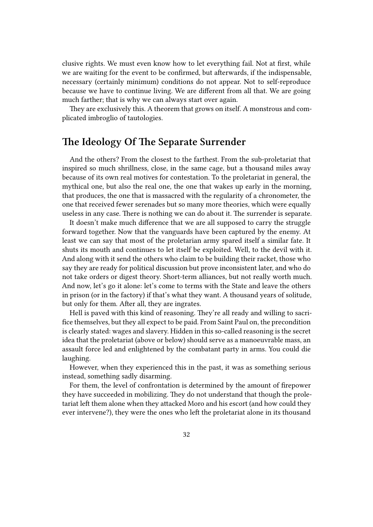clusive rights. We must even know how to let everything fail. Not at first, while we are waiting for the event to be confirmed, but afterwards, if the indispensable, necessary (certainly minimum) conditions do not appear. Not to self-reproduce because we have to continue living. We are different from all that. We are going much farther; that is why we can always start over again.

They are exclusively this. A theorem that grows on itself. A monstrous and complicated imbroglio of tautologies.

# <span id="page-31-0"></span>**The Ideology Of The Separate Surrender**

And the others? From the closest to the farthest. From the sub-proletariat that inspired so much shrillness, close, in the same cage, but a thousand miles away because of its own real motives for contestation. To the proletariat in general, the mythical one, but also the real one, the one that wakes up early in the morning, that produces, the one that is massacred with the regularity of a chronometer, the one that received fewer serenades but so many more theories, which were equally useless in any case. There is nothing we can do about it. The surrender is separate.

It doesn't make much difference that we are all supposed to carry the struggle forward together. Now that the vanguards have been captured by the enemy. At least we can say that most of the proletarian army spared itself a similar fate. It shuts its mouth and continues to let itself be exploited. Well, to the devil with it. And along with it send the others who claim to be building their racket, those who say they are ready for political discussion but prove inconsistent later, and who do not take orders or digest theory. Short-term alliances, but not really worth much. And now, let's go it alone: let's come to terms with the State and leave the others in prison (or in the factory) if that's what they want. A thousand years of solitude, but only for them. After all, they are ingrates.

Hell is paved with this kind of reasoning. They're all ready and willing to sacrifice themselves, but they all expect to be paid. From Saint Paul on, the precondition is clearly stated: wages and slavery. Hidden in this so-called reasoning is the secret idea that the proletariat (above or below) should serve as a manoeuvrable mass, an assault force led and enlightened by the combatant party in arms. You could die laughing.

However, when they experienced this in the past, it was as something serious instead, something sadly disarming.

For them, the level of confrontation is determined by the amount of firepower they have succeeded in mobilizing. They do not understand that though the proletariat left them alone when they attacked Moro and his escort (and how could they ever intervene?), they were the ones who left the proletariat alone in its thousand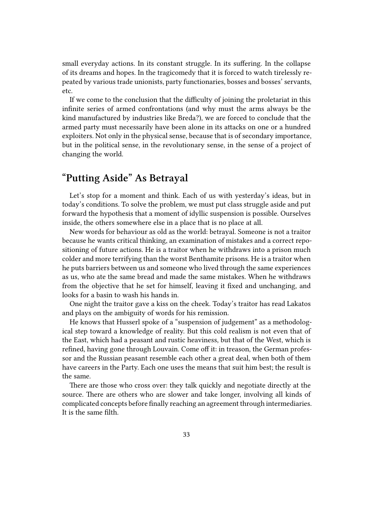small everyday actions. In its constant struggle. In its suffering. In the collapse of its dreams and hopes. In the tragicomedy that it is forced to watch tirelessly repeated by various trade unionists, party functionaries, bosses and bosses' servants, etc.

If we come to the conclusion that the difficulty of joining the proletariat in this infinite series of armed confrontations (and why must the arms always be the kind manufactured by industries like Breda?), we are forced to conclude that the armed party must necessarily have been alone in its attacks on one or a hundred exploiters. Not only in the physical sense, because that is of secondary importance, but in the political sense, in the revolutionary sense, in the sense of a project of changing the world.

# <span id="page-32-0"></span>**"Putting Aside" As Betrayal**

Let's stop for a moment and think. Each of us with yesterday's ideas, but in today's conditions. To solve the problem, we must put class struggle aside and put forward the hypothesis that a moment of idyllic suspension is possible. Ourselves inside, the others somewhere else in a place that is no place at all.

New words for behaviour as old as the world: betrayal. Someone is not a traitor because he wants critical thinking, an examination of mistakes and a correct repositioning of future actions. He is a traitor when he withdraws into a prison much colder and more terrifying than the worst Benthamite prisons. He is a traitor when he puts barriers between us and someone who lived through the same experiences as us, who ate the same bread and made the same mistakes. When he withdraws from the objective that he set for himself, leaving it fixed and unchanging, and looks for a basin to wash his hands in.

One night the traitor gave a kiss on the cheek. Today's traitor has read Lakatos and plays on the ambiguity of words for his remission.

He knows that Husserl spoke of a "suspension of judgement" as a methodological step toward a knowledge of reality. But this cold realism is not even that of the East, which had a peasant and rustic heaviness, but that of the West, which is refined, having gone through Louvain. Come off it: in treason, the German professor and the Russian peasant resemble each other a great deal, when both of them have careers in the Party. Each one uses the means that suit him best; the result is the same.

There are those who cross over: they talk quickly and negotiate directly at the source. There are others who are slower and take longer, involving all kinds of complicated concepts before finally reaching an agreement through intermediaries. It is the same filth.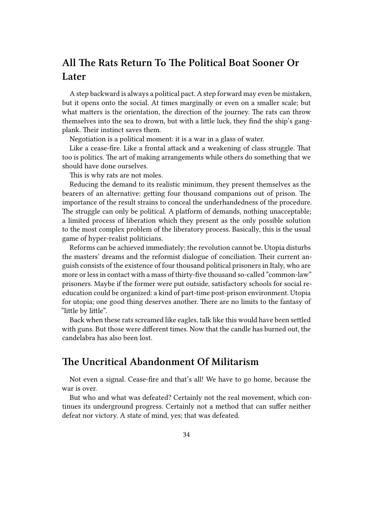# <span id="page-33-0"></span>**All The Rats Return To The Political Boat Sooner Or Later**

A step backward is always a political pact. A step forward may even be mistaken, but it opens onto the social. At times marginally or even on a smaller scale; but what matters is the orientation, the direction of the journey. The rats can throw themselves into the sea to drown, but with a little luck, they find the ship's gangplank. Their instinct saves them.

Negotiation is a political moment: it is a war in a glass of water.

Like a cease-fire. Like a frontal attack and a weakening of class struggle. That too is politics. The art of making arrangements while others do something that we should have done ourselves.

This is why rats are not moles.

Reducing the demand to its realistic minimum, they present themselves as the bearers of an alternative: getting four thousand companions out of prison. The importance of the result strains to conceal the underhandedness of the procedure. The struggle can only be political. A platform of demands, nothing unacceptable; a limited process of liberation which they present as the only possible solution to the most complex problem of the liberatory process. Basically, this is the usual game of hyper-realist politicians.

Reforms can be achieved immediately; the revolution cannot be. Utopia disturbs the masters' dreams and the reformist dialogue of conciliation. Their current anguish consists of the existence of four thousand political prisoners in Italy, who are more or less in contact with a mass of thirty-five thousand so-called "common-law" prisoners. Maybe if the former were put outside, satisfactory schools for social reeducation could be organized: a kind of part-time post-prison environment. Utopia for utopia; one good thing deserves another. There are no limits to the fantasy of "little by little".

Back when these rats screamed like eagles, talk like this would have been settled with guns. But those were different times. Now that the candle has burned out, the candelabra has also been lost.

## <span id="page-33-1"></span>**The Uncritical Abandonment Of Militarism**

Not even a signal. Cease-fire and that's all! We have to go home, because the war is over.

But who and what was defeated? Certainly not the real movement, which continues its underground progress. Certainly not a method that can suffer neither defeat nor victory. A state of mind, yes; that was defeated.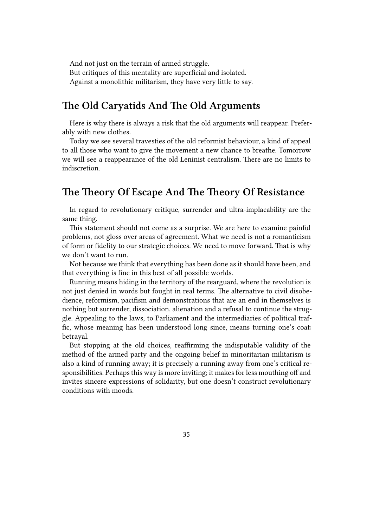And not just on the terrain of armed struggle. But critiques of this mentality are superficial and isolated. Against a monolithic militarism, they have very little to say.

#### <span id="page-34-0"></span>**The Old Caryatids And The Old Arguments**

Here is why there is always a risk that the old arguments will reappear. Preferably with new clothes.

Today we see several travesties of the old reformist behaviour, a kind of appeal to all those who want to give the movement a new chance to breathe. Tomorrow we will see a reappearance of the old Leninist centralism. There are no limits to indiscretion.

# <span id="page-34-1"></span>**The Theory Of Escape And The Theory Of Resistance**

In regard to revolutionary critique, surrender and ultra-implacability are the same thing.

This statement should not come as a surprise. We are here to examine painful problems, not gloss over areas of agreement. What we need is not a romanticism of form or fidelity to our strategic choices. We need to move forward. That is why we don't want to run.

Not because we think that everything has been done as it should have been, and that everything is fine in this best of all possible worlds.

Running means hiding in the territory of the rearguard, where the revolution is not just denied in words but fought in real terms. The alternative to civil disobedience, reformism, pacifism and demonstrations that are an end in themselves is nothing but surrender, dissociation, alienation and a refusal to continue the struggle. Appealing to the laws, to Parliament and the intermediaries of political traffic, whose meaning has been understood long since, means turning one's coat: betrayal.

But stopping at the old choices, reaffirming the indisputable validity of the method of the armed party and the ongoing belief in minoritarian militarism is also a kind of running away; it is precisely a running away from one's critical responsibilities. Perhaps this way is more inviting; it makes for less mouthing off and invites sincere expressions of solidarity, but one doesn't construct revolutionary conditions with moods.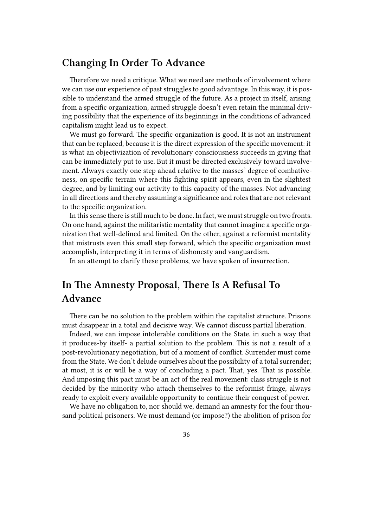## <span id="page-35-0"></span>**Changing In Order To Advance**

Therefore we need a critique. What we need are methods of involvement where we can use our experience of past struggles to good advantage. In this way, it is possible to understand the armed struggle of the future. As a project in itself, arising from a specific organization, armed struggle doesn't even retain the minimal driving possibility that the experience of its beginnings in the conditions of advanced capitalism might lead us to expect.

We must go forward. The specific organization is good. It is not an instrument that can be replaced, because it is the direct expression of the specific movement: it is what an objectivization of revolutionary consciousness succeeds in giving that can be immediately put to use. But it must be directed exclusively toward involvement. Always exactly one step ahead relative to the masses' degree of combativeness, on specific terrain where this fighting spirit appears, even in the slightest degree, and by limiting our activity to this capacity of the masses. Not advancing in all directions and thereby assuming a significance and roles that are not relevant to the specific organization.

In this sense there is still much to be done. In fact, we must struggle on two fronts. On one hand, against the militaristic mentality that cannot imagine a specific organization that well-defined and limited. On the other, against a reformist mentality that mistrusts even this small step forward, which the specific organization must accomplish, interpreting it in terms of dishonesty and vanguardism.

In an attempt to clarify these problems, we have spoken of insurrection.

# <span id="page-35-1"></span>**In The Amnesty Proposal, There Is A Refusal To Advance**

There can be no solution to the problem within the capitalist structure. Prisons must disappear in a total and decisive way. We cannot discuss partial liberation.

Indeed, we can impose intolerable conditions on the State, in such a way that it produces-by itself- a partial solution to the problem. This is not a result of a post-revolutionary negotiation, but of a moment of conflict. Surrender must come from the State. We don't delude ourselves about the possibility of a total surrender; at most, it is or will be a way of concluding a pact. That, yes. That is possible. And imposing this pact must be an act of the real movement: class struggle is not decided by the minority who attach themselves to the reformist fringe, always ready to exploit every available opportunity to continue their conquest of power.

We have no obligation to, nor should we, demand an amnesty for the four thousand political prisoners. We must demand (or impose?) the abolition of prison for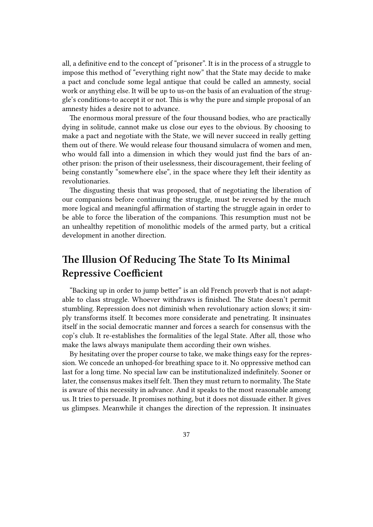all, a definitive end to the concept of "prisoner". It is in the process of a struggle to impose this method of "everything right now" that the State may decide to make a pact and conclude some legal antique that could be called an amnesty, social work or anything else. It will be up to us-on the basis of an evaluation of the struggle's conditions-to accept it or not. This is why the pure and simple proposal of an amnesty hides a desire not to advance.

The enormous moral pressure of the four thousand bodies, who are practically dying in solitude, cannot make us close our eyes to the obvious. By choosing to make a pact and negotiate with the State, we will never succeed in really getting them out of there. We would release four thousand simulacra of women and men, who would fall into a dimension in which they would just find the bars of another prison: the prison of their uselessness, their discouragement, their feeling of being constantly "somewhere else", in the space where they left their identity as revolutionaries.

The disgusting thesis that was proposed, that of negotiating the liberation of our companions before continuing the struggle, must be reversed by the much more logical and meaningful affirmation of starting the struggle again in order to be able to force the liberation of the companions. This resumption must not be an unhealthy repetition of monolithic models of the armed party, but a critical development in another direction.

# <span id="page-36-0"></span>**The Illusion Of Reducing The State To Its Minimal Repressive Coefficient**

"Backing up in order to jump better" is an old French proverb that is not adaptable to class struggle. Whoever withdraws is finished. The State doesn't permit stumbling. Repression does not diminish when revolutionary action slows; it simply transforms itself. It becomes more considerate and penetrating. It insinuates itself in the social democratic manner and forces a search for consensus with the cop's club. It re-establishes the formalities of the legal State. After all, those who make the laws always manipulate them according their own wishes.

By hesitating over the proper course to take, we make things easy for the repression. We concede an unhoped-for breathing space to it. No oppressive method can last for a long time. No special law can be institutionalized indefinitely. Sooner or later, the consensus makes itself felt. Then they must return to normality. The State is aware of this necessity in advance. And it speaks to the most reasonable among us. It tries to persuade. It promises nothing, but it does not dissuade either. It gives us glimpses. Meanwhile it changes the direction of the repression. It insinuates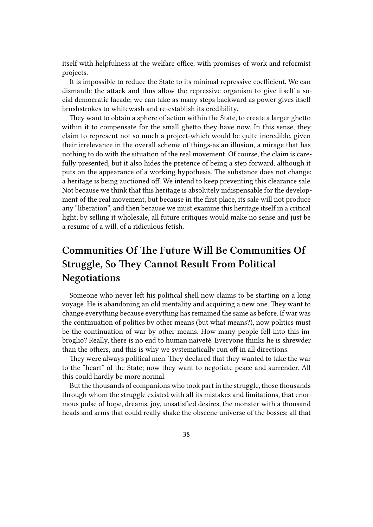itself with helpfulness at the welfare office, with promises of work and reformist projects.

It is impossible to reduce the State to its minimal repressive coefficient. We can dismantle the attack and thus allow the repressive organism to give itself a social democratic facade; we can take as many steps backward as power gives itself brushstrokes to whitewash and re-establish its credibility.

They want to obtain a sphere of action within the State, to create a larger ghetto within it to compensate for the small ghetto they have now. In this sense, they claim to represent not so much a project-which would be quite incredible, given their irrelevance in the overall scheme of things-as an illusion, a mirage that has nothing to do with the situation of the real movement. Of course, the claim is carefully presented, but it also hides the pretence of being a step forward, although it puts on the appearance of a working hypothesis. The substance does not change: a heritage is being auctioned off. We intend to keep preventing this clearance sale. Not because we think that this heritage is absolutely indispensable for the development of the real movement, but because in the first place, its sale will not produce any "liberation", and then because we must examine this heritage itself in a critical light; by selling it wholesale, all future critiques would make no sense and just be a resume of a will, of a ridiculous fetish.

# <span id="page-37-0"></span>**Communities Of The Future Will Be Communities Of Struggle, So They Cannot Result From Political Negotiations**

Someone who never left his political shell now claims to be starting on a long voyage. He is abandoning an old mentality and acquiring a new one. They want to change everything because everything has remained the same as before. If war was the continuation of politics by other means (but what means?), now politics must be the continuation of war by other means. How many people fell into this imbroglio? Really, there is no end to human naiveté. Everyone thinks he is shrewder than the others, and this is why we systematically run off in all directions.

They were always political men. They declared that they wanted to take the war to the "heart" of the State; now they want to negotiate peace and surrender. All this could hardly be more normal.

But the thousands of companions who took part in the struggle, those thousands through whom the struggle existed with all its mistakes and limitations, that enormous pulse of hope, dreams, joy, unsatisfied desires, the monster with a thousand heads and arms that could really shake the obscene universe of the bosses; all that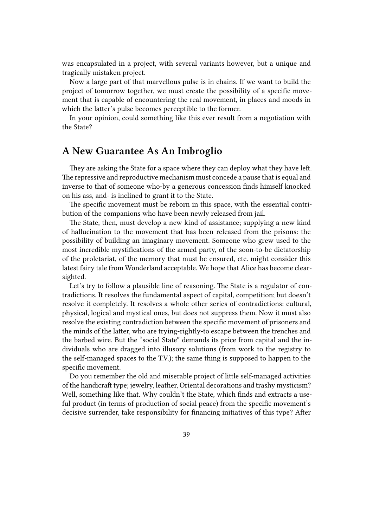was encapsulated in a project, with several variants however, but a unique and tragically mistaken project.

Now a large part of that marvellous pulse is in chains. If we want to build the project of tomorrow together, we must create the possibility of a specific movement that is capable of encountering the real movement, in places and moods in which the latter's pulse becomes perceptible to the former.

In your opinion, could something like this ever result from a negotiation with the State?

#### <span id="page-38-0"></span>**A New Guarantee As An Imbroglio**

They are asking the State for a space where they can deploy what they have left. The repressive and reproductive mechanism must concede a pause that is equal and inverse to that of someone who-by a generous concession finds himself knocked on his ass, and- is inclined to grant it to the State.

The specific movement must be reborn in this space, with the essential contribution of the companions who have been newly released from jail.

The State, then, must develop a new kind of assistance; supplying a new kind of hallucination to the movement that has been released from the prisons: the possibility of building an imaginary movement. Someone who grew used to the most incredible mystifications of the armed party, of the soon-to-be dictatorship of the proletariat, of the memory that must be ensured, etc. might consider this latest fairy tale from Wonderland acceptable. We hope that Alice has become clearsighted.

Let's try to follow a plausible line of reasoning. The State is a regulator of contradictions. It resolves the fundamental aspect of capital, competition; but doesn't resolve it completely. It resolves a whole other series of contradictions: cultural, physical, logical and mystical ones, but does not suppress them. Now it must also resolve the existing contradiction between the specific movement of prisoners and the minds of the latter, who are trying-rightly-to escape between the trenches and the barbed wire. But the "social State" demands its price from capital and the individuals who are dragged into illusory solutions (from work to the registry to the self-managed spaces to the T.V.); the same thing is supposed to happen to the specific movement.

Do you remember the old and miserable project of little self-managed activities of the handicraft type; jewelry, leather, Oriental decorations and trashy mysticism? Well, something like that. Why couldn't the State, which finds and extracts a useful product (in terms of production of social peace) from the specific movement's decisive surrender, take responsibility for financing initiatives of this type? After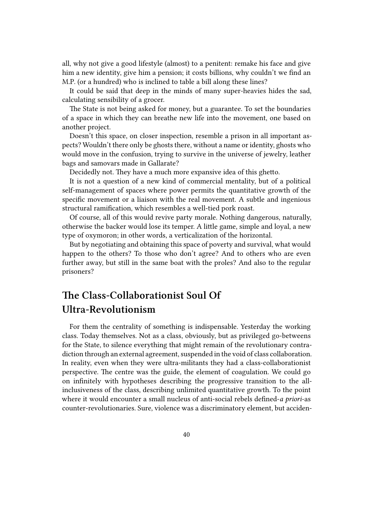all, why not give a good lifestyle (almost) to a penitent: remake his face and give him a new identity, give him a pension; it costs billions, why couldn't we find an M.P. (or a hundred) who is inclined to table a bill along these lines?

It could be said that deep in the minds of many super-heavies hides the sad, calculating sensibility of a grocer.

The State is not being asked for money, but a guarantee. To set the boundaries of a space in which they can breathe new life into the movement, one based on another project.

Doesn't this space, on closer inspection, resemble a prison in all important aspects? Wouldn't there only be ghosts there, without a name or identity, ghosts who would move in the confusion, trying to survive in the universe of jewelry, leather bags and samovars made in Gallarate?

Decidedly not. They have a much more expansive idea of this ghetto.

It is not a question of a new kind of commercial mentality, but of a political self-management of spaces where power permits the quantitative growth of the specific movement or a liaison with the real movement. A subtle and ingenious structural ramification, which resembles a well-tied pork roast.

Of course, all of this would revive party morale. Nothing dangerous, naturally, otherwise the backer would lose its temper. A little game, simple and loyal, a new type of oxymoron; in other words, a verticalization of the horizontal.

But by negotiating and obtaining this space of poverty and survival, what would happen to the others? To those who don't agree? And to others who are even further away, but still in the same boat with the proles? And also to the regular prisoners?

# <span id="page-39-0"></span>**The Class-Collaborationist Soul Of Ultra-Revolutionism**

For them the centrality of something is indispensable. Yesterday the working class. Today themselves. Not as a class, obviously, but as privileged go-betweens for the State, to silence everything that might remain of the revolutionary contradiction through an external agreement, suspended in the void of class collaboration. In reality, even when they were ultra-militants they had a class-collaborationist perspective. The centre was the guide, the element of coagulation. We could go on infinitely with hypotheses describing the progressive transition to the allinclusiveness of the class, describing unlimited quantitative growth. To the point where it would encounter a small nucleus of anti-social rebels defined-*a priori*-as counter-revolutionaries. Sure, violence was a discriminatory element, but acciden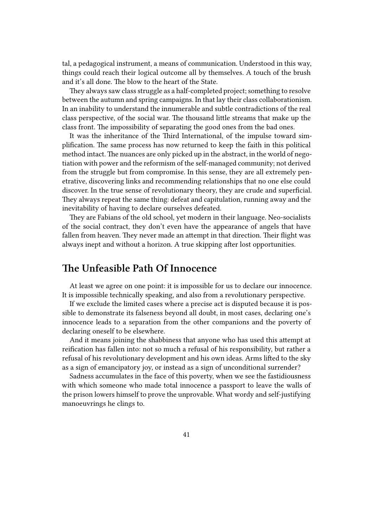tal, a pedagogical instrument, a means of communication. Understood in this way, things could reach their logical outcome all by themselves. A touch of the brush and it's all done. The blow to the heart of the State.

They always saw class struggle as a half-completed project; something to resolve between the autumn and spring campaigns. In that lay their class collaborationism. In an inability to understand the innumerable and subtle contradictions of the real class perspective, of the social war. The thousand little streams that make up the class front. The impossibility of separating the good ones from the bad ones.

It was the inheritance of the Third International, of the impulse toward simplification. The same process has now returned to keep the faith in this political method intact. The nuances are only picked up in the abstract, in the world of negotiation with power and the reformism of the self-managed community; not derived from the struggle but from compromise. In this sense, they are all extremely penetrative, discovering links and recommending relationships that no one else could discover. In the true sense of revolutionary theory, they are crude and superficial. They always repeat the same thing: defeat and capitulation, running away and the inevitability of having to declare ourselves defeated.

They are Fabians of the old school, yet modern in their language. Neo-socialists of the social contract, they don't even have the appearance of angels that have fallen from heaven. They never made an attempt in that direction. Their flight was always inept and without a horizon. A true skipping after lost opportunities.

### <span id="page-40-0"></span>**The Unfeasible Path Of Innocence**

At least we agree on one point: it is impossible for us to declare our innocence. It is impossible technically speaking, and also from a revolutionary perspective.

If we exclude the limited cases where a precise act is disputed because it is possible to demonstrate its falseness beyond all doubt, in most cases, declaring one's innocence leads to a separation from the other companions and the poverty of declaring oneself to be elsewhere.

And it means joining the shabbiness that anyone who has used this attempt at reification has fallen into: not so much a refusal of his responsibility, but rather a refusal of his revolutionary development and his own ideas. Arms lifted to the sky as a sign of emancipatory joy, or instead as a sign of unconditional surrender?

Sadness accumulates in the face of this poverty, when we see the fastidiousness with which someone who made total innocence a passport to leave the walls of the prison lowers himself to prove the unprovable. What wordy and self-justifying manoeuvrings he clings to.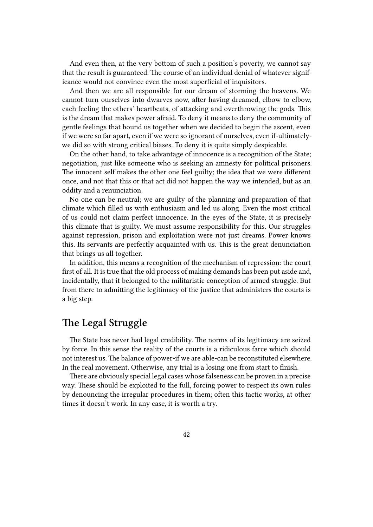And even then, at the very bottom of such a position's poverty, we cannot say that the result is guaranteed. The course of an individual denial of whatever significance would not convince even the most superficial of inquisitors.

And then we are all responsible for our dream of storming the heavens. We cannot turn ourselves into dwarves now, after having dreamed, elbow to elbow, each feeling the others' heartbeats, of attacking and overthrowing the gods. This is the dream that makes power afraid. To deny it means to deny the community of gentle feelings that bound us together when we decided to begin the ascent, even if we were so far apart, even if we were so ignorant of ourselves, even if-ultimatelywe did so with strong critical biases. To deny it is quite simply despicable.

On the other hand, to take advantage of innocence is a recognition of the State; negotiation, just like someone who is seeking an amnesty for political prisoners. The innocent self makes the other one feel guilty; the idea that we were different once, and not that this or that act did not happen the way we intended, but as an oddity and a renunciation.

No one can be neutral; we are guilty of the planning and preparation of that climate which filled us with enthusiasm and led us along. Even the most critical of us could not claim perfect innocence. In the eyes of the State, it is precisely this climate that is guilty. We must assume responsibility for this. Our struggles against repression, prison and exploitation were not just dreams. Power knows this. Its servants are perfectly acquainted with us. This is the great denunciation that brings us all together.

In addition, this means a recognition of the mechanism of repression: the court first of all. It is true that the old process of making demands has been put aside and, incidentally, that it belonged to the militaristic conception of armed struggle. But from there to admitting the legitimacy of the justice that administers the courts is a big step.

## <span id="page-41-0"></span>**The Legal Struggle**

The State has never had legal credibility. The norms of its legitimacy are seized by force. In this sense the reality of the courts is a ridiculous farce which should not interest us. The balance of power-if we are able-can be reconstituted elsewhere. In the real movement. Otherwise, any trial is a losing one from start to finish.

There are obviously special legal cases whose falseness can be proven in a precise way. These should be exploited to the full, forcing power to respect its own rules by denouncing the irregular procedures in them; often this tactic works, at other times it doesn't work. In any case, it is worth a try.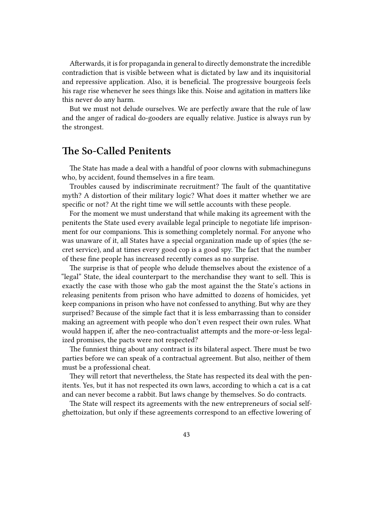Afterwards, it is for propaganda in general to directly demonstrate the incredible contradiction that is visible between what is dictated by law and its inquisitorial and repressive application. Also, it is beneficial. The progressive bourgeois feels his rage rise whenever he sees things like this. Noise and agitation in matters like this never do any harm.

But we must not delude ourselves. We are perfectly aware that the rule of law and the anger of radical do-gooders are equally relative. Justice is always run by the strongest.

## <span id="page-42-0"></span>**The So-Called Penitents**

The State has made a deal with a handful of poor clowns with submachineguns who, by accident, found themselves in a fire team.

Troubles caused by indiscriminate recruitment? The fault of the quantitative myth? A distortion of their military logic? What does it matter whether we are specific or not? At the right time we will settle accounts with these people.

For the moment we must understand that while making its agreement with the penitents the State used every available legal principle to negotiate life imprisonment for our companions. This is something completely normal. For anyone who was unaware of it, all States have a special organization made up of spies (the secret service), and at times every good cop is a good spy. The fact that the number of these fine people has increased recently comes as no surprise.

The surprise is that of people who delude themselves about the existence of a "legal" State, the ideal counterpart to the merchandise they want to sell. This is exactly the case with those who gab the most against the the State's actions in releasing penitents from prison who have admitted to dozens of homicides, yet keep companions in prison who have not confessed to anything. But why are they surprised? Because of the simple fact that it is less embarrassing than to consider making an agreement with people who don't even respect their own rules. What would happen if, after the neo-contractualist attempts and the more-or-less legalized promises, the pacts were not respected?

The funniest thing about any contract is its bilateral aspect. There must be two parties before we can speak of a contractual agreement. But also, neither of them must be a professional cheat.

They will retort that nevertheless, the State has respected its deal with the penitents. Yes, but it has not respected its own laws, according to which a cat is a cat and can never become a rabbit. But laws change by themselves. So do contracts.

The State will respect its agreements with the new entrepreneurs of social selfghettoization, but only if these agreements correspond to an effective lowering of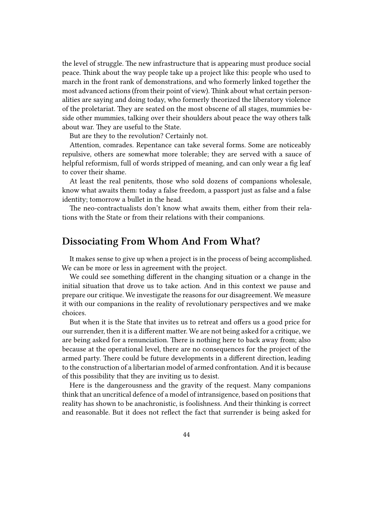the level of struggle. The new infrastructure that is appearing must produce social peace. Think about the way people take up a project like this: people who used to march in the front rank of demonstrations, and who formerly linked together the most advanced actions (from their point of view). Think about what certain personalities are saying and doing today, who formerly theorized the liberatory violence of the proletariat. They are seated on the most obscene of all stages, mummies beside other mummies, talking over their shoulders about peace the way others talk about war. They are useful to the State.

But are they to the revolution? Certainly not.

Attention, comrades. Repentance can take several forms. Some are noticeably repulsive, others are somewhat more tolerable; they are served with a sauce of helpful reformism, full of words stripped of meaning, and can only wear a fig leaf to cover their shame.

At least the real penitents, those who sold dozens of companions wholesale, know what awaits them: today a false freedom, a passport just as false and a false identity; tomorrow a bullet in the head.

The neo-contractualists don't know what awaits them, either from their relations with the State or from their relations with their companions.

#### <span id="page-43-0"></span>**Dissociating From Whom And From What?**

It makes sense to give up when a project is in the process of being accomplished. We can be more or less in agreement with the project.

We could see something different in the changing situation or a change in the initial situation that drove us to take action. And in this context we pause and prepare our critique. We investigate the reasons for our disagreement. We measure it with our companions in the reality of revolutionary perspectives and we make choices.

But when it is the State that invites us to retreat and offers us a good price for our surrender, then it is a different matter. We are not being asked for a critique, we are being asked for a renunciation. There is nothing here to back away from; also because at the operational level, there are no consequences for the project of the armed party. There could be future developments in a different direction, leading to the construction of a libertarian model of armed confrontation. And it is because of this possibility that they are inviting us to desist.

Here is the dangerousness and the gravity of the request. Many companions think that an uncritical defence of a model of intransigence, based on positions that reality has shown to be anachronistic, is foolishness. And their thinking is correct and reasonable. But it does not reflect the fact that surrender is being asked for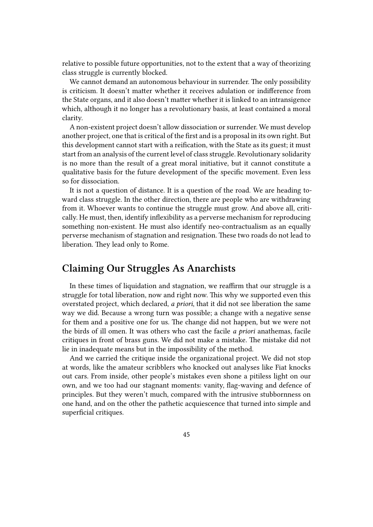relative to possible future opportunities, not to the extent that a way of theorizing class struggle is currently blocked.

We cannot demand an autonomous behaviour in surrender. The only possibility is criticism. It doesn't matter whether it receives adulation or indifference from the State organs, and it also doesn't matter whether it is linked to an intransigence which, although it no longer has a revolutionary basis, at least contained a moral clarity.

A non-existent project doesn't allow dissociation or surrender. We must develop another project, one that is critical of the first and is a proposal in its own right. But this development cannot start with a reification, with the State as its guest; it must start from an analysis of the current level of class struggle. Revolutionary solidarity is no more than the result of a great moral initiative, but it cannot constitute a qualitative basis for the future development of the specific movement. Even less so for dissociation.

It is not a question of distance. It is a question of the road. We are heading toward class struggle. In the other direction, there are people who are withdrawing from it. Whoever wants to continue the struggle must grow. And above all, critically. He must, then, identify inflexibility as a perverse mechanism for reproducing something non-existent. He must also identify neo-contractualism as an equally perverse mechanism of stagnation and resignation. These two roads do not lead to liberation. They lead only to Rome.

## <span id="page-44-0"></span>**Claiming Our Struggles As Anarchists**

In these times of liquidation and stagnation, we reaffirm that our struggle is a struggle for total liberation, now and right now. This why we supported even this overstated project, which declared, *a priori*, that it did not see liberation the same way we did. Because a wrong turn was possible; a change with a negative sense for them and a positive one for us. The change did not happen, but we were not the birds of ill omen. It was others who cast the facile *a priori* anathemas, facile critiques in front of brass guns. We did not make a mistake. The mistake did not lie in inadequate means but in the impossibility of the method.

And we carried the critique inside the organizational project. We did not stop at words, like the amateur scribblers who knocked out analyses like Fiat knocks out cars. From inside, other people's mistakes even shone a pitiless light on our own, and we too had our stagnant moments: vanity, flag-waving and defence of principles. But they weren't much, compared with the intrusive stubbornness on one hand, and on the other the pathetic acquiescence that turned into simple and superficial critiques.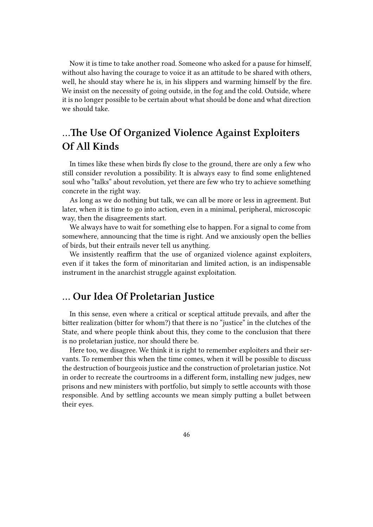Now it is time to take another road. Someone who asked for a pause for himself, without also having the courage to voice it as an attitude to be shared with others, well, he should stay where he is, in his slippers and warming himself by the fire. We insist on the necessity of going outside, in the fog and the cold. Outside, where it is no longer possible to be certain about what should be done and what direction we should take.

# <span id="page-45-0"></span>**…The Use Of Organized Violence Against Exploiters Of All Kinds**

In times like these when birds fly close to the ground, there are only a few who still consider revolution a possibility. It is always easy to find some enlightened soul who "talks" about revolution, yet there are few who try to achieve something concrete in the right way.

As long as we do nothing but talk, we can all be more or less in agreement. But later, when it is time to go into action, even in a minimal, peripheral, microscopic way, then the disagreements start.

We always have to wait for something else to happen. For a signal to come from somewhere, announcing that the time is right. And we anxiously open the bellies of birds, but their entrails never tell us anything.

We insistently reaffirm that the use of organized violence against exploiters, even if it takes the form of minoritarian and limited action, is an indispensable instrument in the anarchist struggle against exploitation.

#### <span id="page-45-1"></span>**… Our Idea Of Proletarian Justice**

In this sense, even where a critical or sceptical attitude prevails, and after the bitter realization (bitter for whom?) that there is no "justice" in the clutches of the State, and where people think about this, they come to the conclusion that there is no proletarian justice, nor should there be.

Here too, we disagree. We think it is right to remember exploiters and their servants. To remember this when the time comes, when it will be possible to discuss the destruction of bourgeois justice and the construction of proletarian justice. Not in order to recreate the courtrooms in a different form, installing new judges, new prisons and new ministers with portfolio, but simply to settle accounts with those responsible. And by settling accounts we mean simply putting a bullet between their eyes.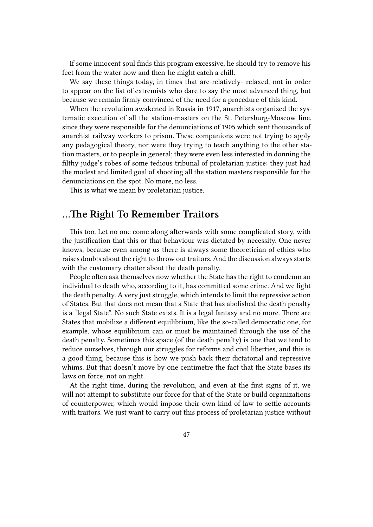If some innocent soul finds this program excessive, he should try to remove his feet from the water now and then-he might catch a chill.

We say these things today, in times that are-relatively- relaxed, not in order to appear on the list of extremists who dare to say the most advanced thing, but because we remain firmly convinced of the need for a procedure of this kind.

When the revolution awakened in Russia in 1917, anarchists organized the systematic execution of all the station-masters on the St. Petersburg-Moscow line, since they were responsible for the denunciations of 1905 which sent thousands of anarchist railway workers to prison. These companions were not trying to apply any pedagogical theory, nor were they trying to teach anything to the other station masters, or to people in general; they were even less interested in donning the filthy judge's robes of some tedious tribunal of proletarian justice: they just had the modest and limited goal of shooting all the station masters responsible for the denunciations on the spot. No more, no less.

This is what we mean by proletarian justice.

#### <span id="page-46-0"></span>**…The Right To Remember Traitors**

This too. Let no one come along afterwards with some complicated story, with the justification that this or that behaviour was dictated by necessity. One never knows, because even among us there is always some theoretician of ethics who raises doubts about the right to throw out traitors. And the discussion always starts with the customary chatter about the death penalty.

People often ask themselves now whether the State has the right to condemn an individual to death who, according to it, has committed some crime. And we fight the death penalty. A very just struggle, which intends to limit the repressive action of States. But that does not mean that a State that has abolished the death penalty is a "legal State". No such State exists. It is a legal fantasy and no more. There are States that mobilize a different equilibrium, like the so-called democratic one, for example, whose equilibrium can or must be maintained through the use of the death penalty. Sometimes this space (of the death penalty) is one that we tend to reduce ourselves, through our struggles for reforms and civil liberties, and this is a good thing, because this is how we push back their dictatorial and repressive whims. But that doesn't move by one centimetre the fact that the State bases its laws on force, not on right.

At the right time, during the revolution, and even at the first signs of it, we will not attempt to substitute our force for that of the State or build organizations of counterpower, which would impose their own kind of law to settle accounts with traitors. We just want to carry out this process of proletarian justice without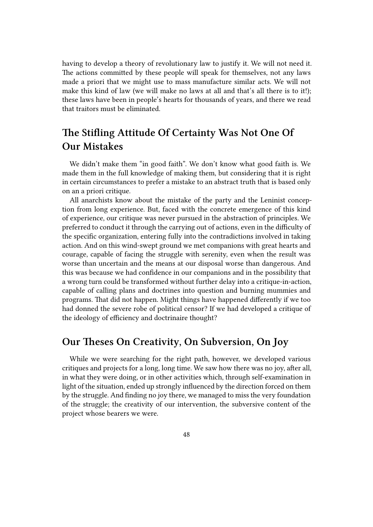having to develop a theory of revolutionary law to justify it. We will not need it. The actions committed by these people will speak for themselves, not any laws made a priori that we might use to mass manufacture similar acts. We will not make this kind of law (we will make no laws at all and that's all there is to it!); these laws have been in people's hearts for thousands of years, and there we read that traitors must be eliminated.

# <span id="page-47-0"></span>**The Stifling Attitude Of Certainty Was Not One Of Our Mistakes**

We didn't make them "in good faith". We don't know what good faith is. We made them in the full knowledge of making them, but considering that it is right in certain circumstances to prefer a mistake to an abstract truth that is based only on an a priori critique.

All anarchists know about the mistake of the party and the Leninist conception from long experience. But, faced with the concrete emergence of this kind of experience, our critique was never pursued in the abstraction of principles. We preferred to conduct it through the carrying out of actions, even in the difficulty of the specific organization, entering fully into the contradictions involved in taking action. And on this wind-swept ground we met companions with great hearts and courage, capable of facing the struggle with serenity, even when the result was worse than uncertain and the means at our disposal worse than dangerous. And this was because we had confidence in our companions and in the possibility that a wrong turn could be transformed without further delay into a critique-in-action, capable of calling plans and doctrines into question and burning mummies and programs. That did not happen. Might things have happened differently if we too had donned the severe robe of political censor? If we had developed a critique of the ideology of efficiency and doctrinaire thought?

## **Our Theses On Creativity, On Subversion, On Joy**

While we were searching for the right path, however, we developed various critiques and projects for a long, long time. We saw how there was no joy, after all, in what they were doing, or in other activities which, through self-examination in light of the situation, ended up strongly influenced by the direction forced on them by the struggle. And finding no joy there, we managed to miss the very foundation of the struggle; the creativity of our intervention, the subversive content of the project whose bearers we were.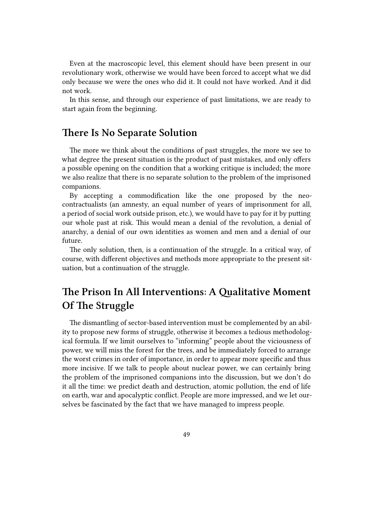Even at the macroscopic level, this element should have been present in our revolutionary work, otherwise we would have been forced to accept what we did only because we were the ones who did it. It could not have worked. And it did not work.

In this sense, and through our experience of past limitations, we are ready to start again from the beginning.

#### **There Is No Separate Solution**

The more we think about the conditions of past struggles, the more we see to what degree the present situation is the product of past mistakes, and only offers a possible opening on the condition that a working critique is included; the more we also realize that there is no separate solution to the problem of the imprisoned companions.

By accepting a commodification like the one proposed by the neocontractualists (an amnesty, an equal number of years of imprisonment for all, a period of social work outside prison, etc.), we would have to pay for it by putting our whole past at risk. This would mean a denial of the revolution, a denial of anarchy, a denial of our own identities as women and men and a denial of our future.

The only solution, then, is a continuation of the struggle. In a critical way, of course, with different objectives and methods more appropriate to the present situation, but a continuation of the struggle.

# **The Prison In All Interventions: A Qualitative Moment Of The Struggle**

The dismantling of sector-based intervention must be complemented by an ability to propose new forms of struggle, otherwise it becomes a tedious methodological formula. If we limit ourselves to "informing" people about the viciousness of power, we will miss the forest for the trees, and be immediately forced to arrange the worst crimes in order of importance, in order to appear more specific and thus more incisive. If we talk to people about nuclear power, we can certainly bring the problem of the imprisoned companions into the discussion, but we don't do it all the time: we predict death and destruction, atomic pollution, the end of life on earth, war and apocalyptic conflict. People are more impressed, and we let ourselves be fascinated by the fact that we have managed to impress people.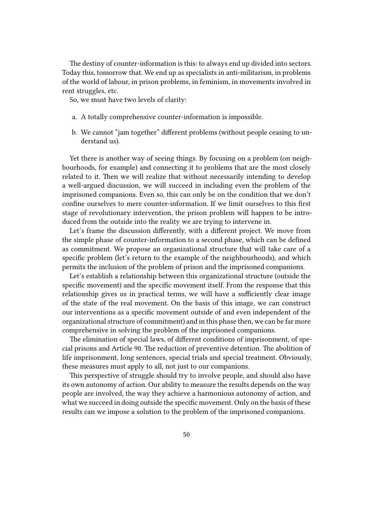The destiny of counter-information is this: to always end up divided into sectors. Today this, tomorrow that. We end up as specialists in anti-militarism, in problems of the world of labour, in prison problems, in feminism, in movements involved in rent struggles, etc.

So, we must have two levels of clarity:

- a. A totally comprehensive counter-information is impossible.
- b. We cannot "jam together" different problems (without people ceasing to understand us).

Yet there is another way of seeing things. By focusing on a problem (on neighbourhoods, for example) and connecting it to problems that are the most closely related to it. Then we will realize that without necessarily intending to develop a well-argued discussion, we will succeed in including even the problem of the imprisoned companions. Even so, this can only be on the condition that we don't confine ourselves to mere counter-information. If we limit ourselves to this first stage of revolutionary intervention, the prison problem will happen to be introduced from the outside into the reality we are trying to intervene in.

Let's frame the discussion differently, with a different project. We move from the simple phase of counter-information to a second phase, which can be defined as commitment. We propose an organizational structure that will take care of a specific problem (let's return to the example of the neighbourhoods), and which permits the inclusion of the problem of prison and the imprisoned companions.

Let's establish a relationship between this organizational structure (outside the specific movement) and the specific movement itself. From the response that this relationship gives us in practical terms, we will have a sufficiently clear image of the state of the real movement. On the basis of this image, we can construct our interventions as a specific movement outside of and even independent of the organizational structure of commitment) and in this phase then, we can be far more comprehensive in solving the problem of the imprisoned companions.

The elimination of special laws, of different conditions of imprisonment, of special prisons and Article 90. The reduction of preventive detention. The abolition of life imprisonment, long sentences, special trials and special treatment. Obviously, these measures must apply to all, not just to our companions.

This perspective of struggle should try to involve people, and should also have its own autonomy of action. Our ability to measure the results depends on the way people are involved, the way they achieve a harmonious autonomy of action, and what we succeed in doing outside the specific movement. Only on the basis of these results can we impose a solution to the problem of the imprisoned companions.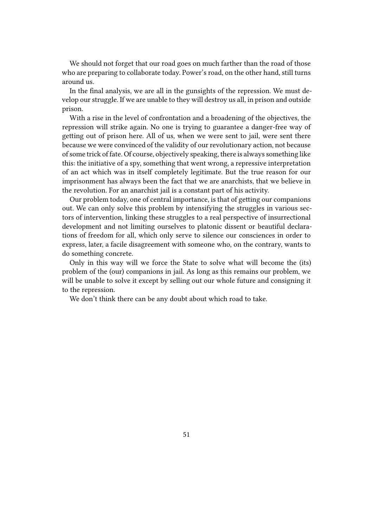We should not forget that our road goes on much farther than the road of those who are preparing to collaborate today. Power's road, on the other hand, still turns around us.

In the final analysis, we are all in the gunsights of the repression. We must develop our struggle. If we are unable to they will destroy us all, in prison and outside prison.

With a rise in the level of confrontation and a broadening of the objectives, the repression will strike again. No one is trying to guarantee a danger-free way of getting out of prison here. All of us, when we were sent to jail, were sent there because we were convinced of the validity of our revolutionary action, not because of some trick of fate. Of course, objectively speaking, there is always something like this: the initiative of a spy, something that went wrong, a repressive interpretation of an act which was in itself completely legitimate. But the true reason for our imprisonment has always been the fact that we are anarchists, that we believe in the revolution. For an anarchist jail is a constant part of his activity.

Our problem today, one of central importance, is that of getting our companions out. We can only solve this problem by intensifying the struggles in various sectors of intervention, linking these struggles to a real perspective of insurrectional development and not limiting ourselves to platonic dissent or beautiful declarations of freedom for all, which only serve to silence our consciences in order to express, later, a facile disagreement with someone who, on the contrary, wants to do something concrete.

Only in this way will we force the State to solve what will become the (its) problem of the (our) companions in jail. As long as this remains our problem, we will be unable to solve it except by selling out our whole future and consigning it to the repression.

We don't think there can be any doubt about which road to take.